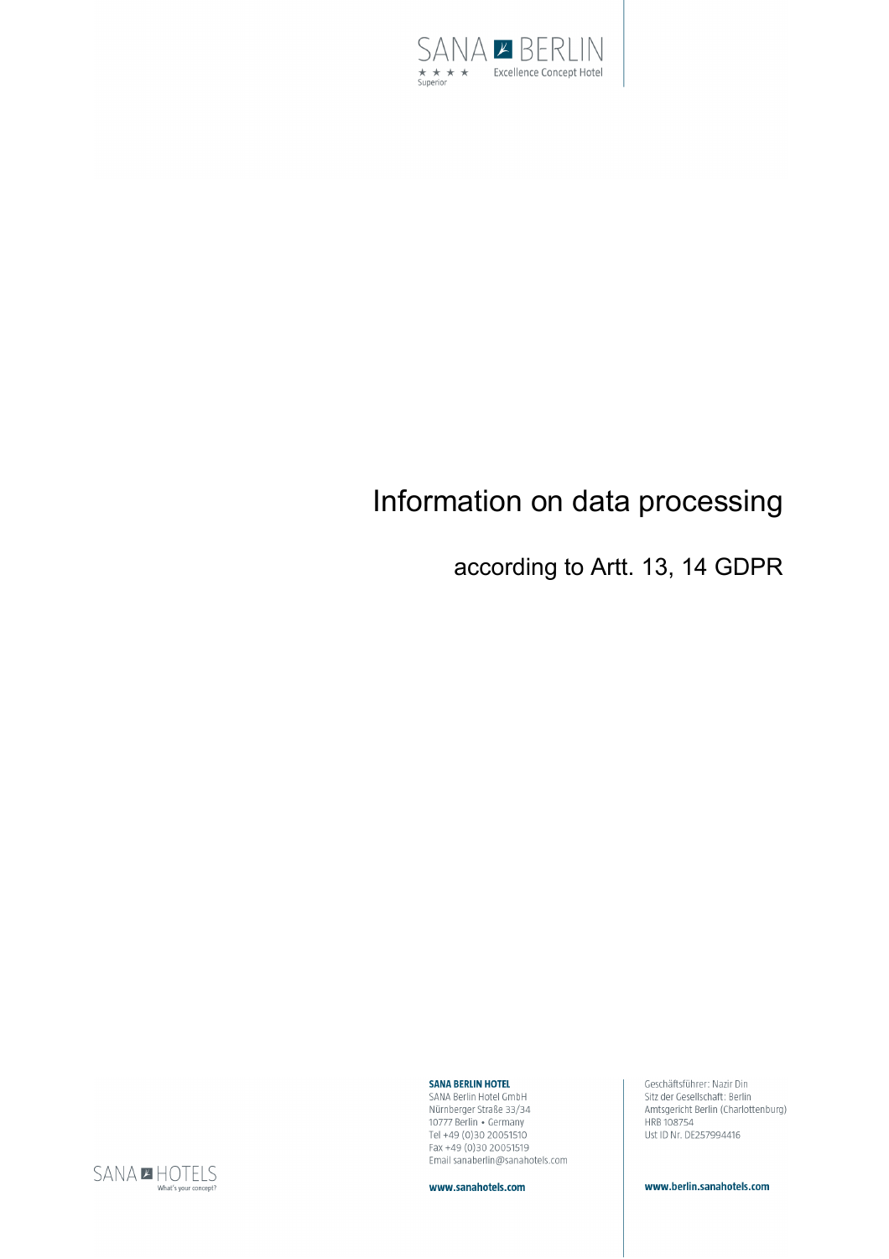

# Information on data processing

according to Artt. 13, 14 GDPR

**SANA BERLIN HOTEL** 

SANA Berlin Hotel GmbH SANA Behin Hotel Gillbri<br>Nürnberger Straße 33/34<br>10777 Berlin • Germany Tel +49 (0)30 20051510 Fax +49 (0) 30 20051519 Email sanaberlin@sanahotels.com

Geschäftsführer: Nazir Din Sitz der Gesellschaft: Berlin Sitz der desenschaft. Behm<br>Amtsgericht Berlin (Charlottenburg)<br>HRB 108754 Ust ID Nr. DE257994416

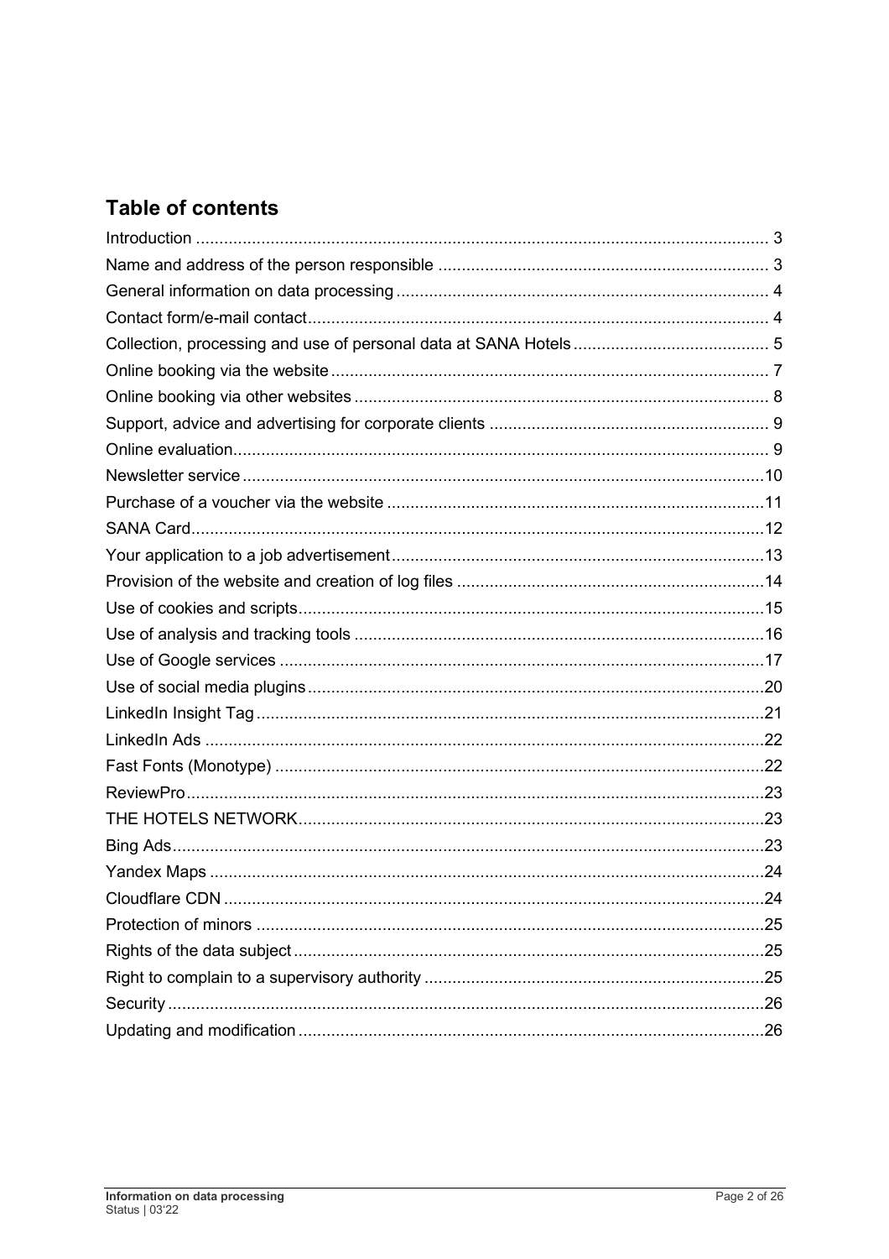# **Table of contents**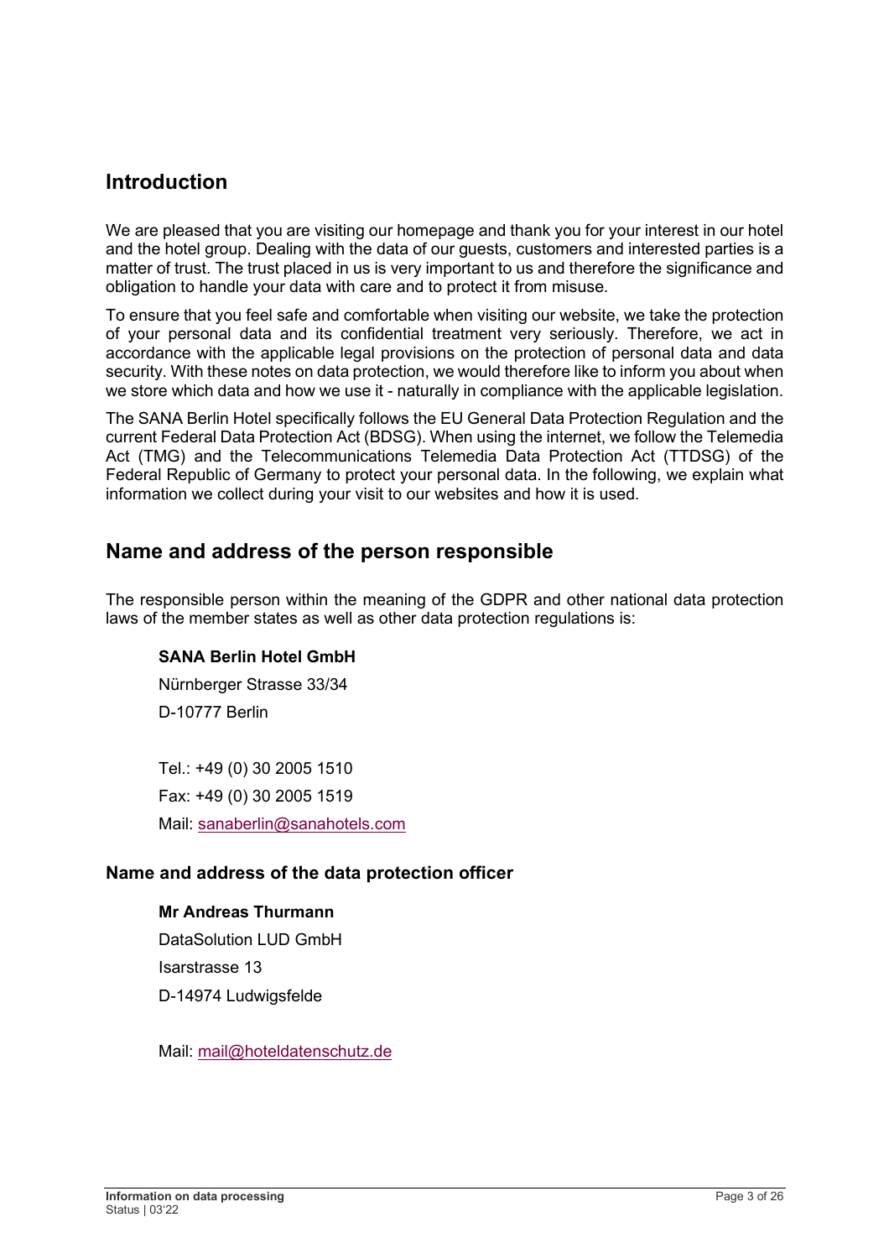# **Introduction**

We are pleased that you are visiting our homepage and thank you for your interest in our hotel and the hotel group. Dealing with the data of our guests, customers and interested parties is a matter of trust. The trust placed in us is very important to us and therefore the significance and obligation to handle your data with care and to protect it from misuse.

To ensure that you feel safe and comfortable when visiting our website, we take the protection of your personal data and its confidential treatment very seriously. Therefore, we act in accordance with the applicable legal provisions on the protection of personal data and data security. With these notes on data protection, we would therefore like to inform you about when we store which data and how we use it - naturally in compliance with the applicable legislation.

The SANA Berlin Hotel specifically follows the EU General Data Protection Regulation and the current Federal Data Protection Act (BDSG). When using the internet, we follow the Telemedia Act (TMG) and the Telecommunications Telemedia Data Protection Act (TTDSG) of the Federal Republic of Germany to protect your personal data. In the following, we explain what information we collect during your visit to our websites and how it is used.

### **Name and address of the person responsible**

The responsible person within the meaning of the GDPR and other national data protection laws of the member states as well as other data protection regulations is:

### **SANA Berlin Hotel GmbH**

Nürnberger Strasse 33/34 D-10777 Berlin

Tel.: +49 (0) 30 2005 1510 Fax: +49 (0) 30 2005 1519 Mail: sanaberlin@sanahotels.com

### **Name and address of the data protection officer**

#### **Mr Andreas Thurmann**

DataSolution LUD GmbH Isarstrasse 13 D-14974 Ludwigsfelde

Mail: mail@hoteldatenschutz.de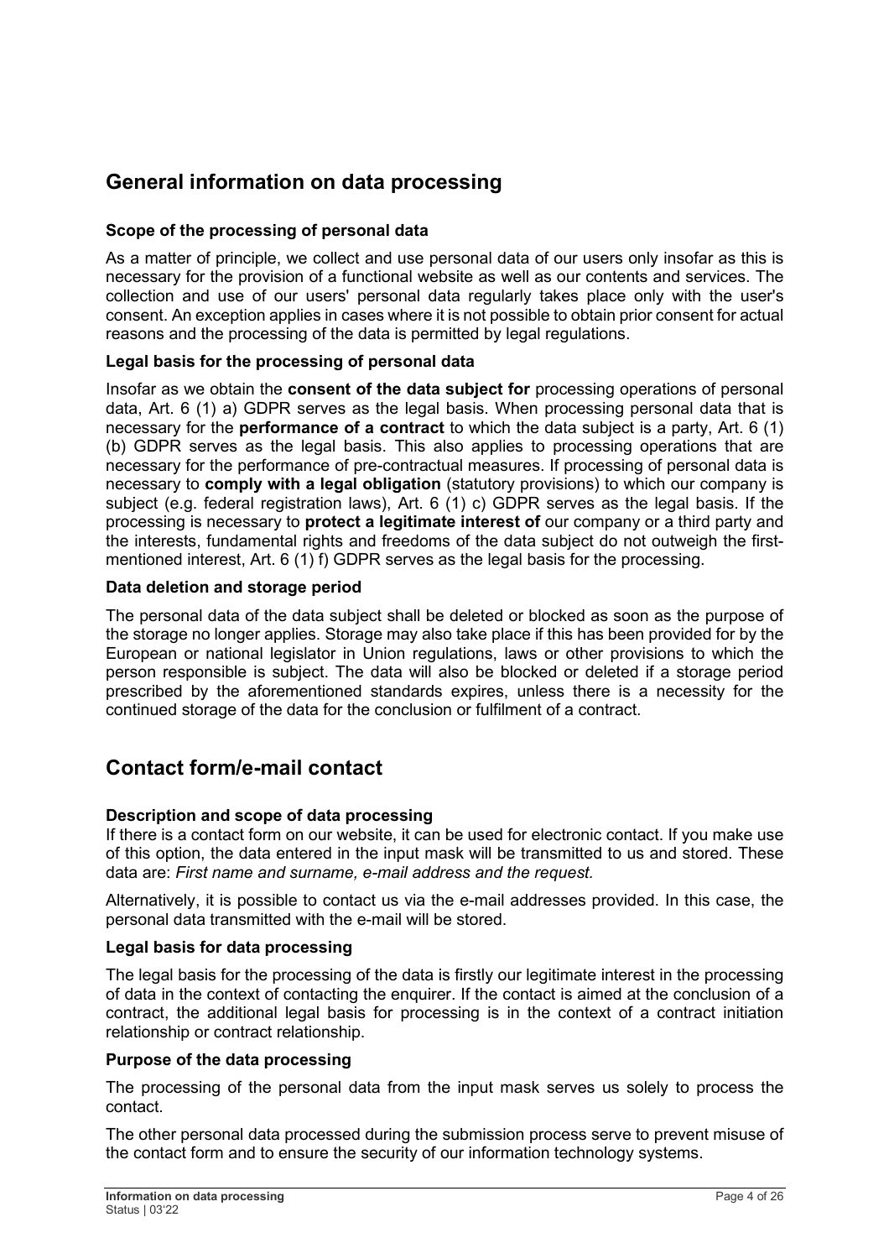# **General information on data processing**

### **Scope of the processing of personal data**

As a matter of principle, we collect and use personal data of our users only insofar as this is necessary for the provision of a functional website as well as our contents and services. The collection and use of our users' personal data regularly takes place only with the user's consent. An exception applies in cases where it is not possible to obtain prior consent for actual reasons and the processing of the data is permitted by legal regulations.

### **Legal basis for the processing of personal data**

Insofar as we obtain the **consent of the data subject for** processing operations of personal data, Art. 6 (1) a) GDPR serves as the legal basis. When processing personal data that is necessary for the **performance of a contract** to which the data subject is a party, Art. 6 (1) (b) GDPR serves as the legal basis. This also applies to processing operations that are necessary for the performance of pre-contractual measures. If processing of personal data is necessary to **comply with a legal obligation** (statutory provisions) to which our company is subject (e.g. federal registration laws), Art. 6 (1) c) GDPR serves as the legal basis. If the processing is necessary to **protect a legitimate interest of** our company or a third party and the interests, fundamental rights and freedoms of the data subject do not outweigh the firstmentioned interest, Art. 6 (1) f) GDPR serves as the legal basis for the processing.

### **Data deletion and storage period**

The personal data of the data subject shall be deleted or blocked as soon as the purpose of the storage no longer applies. Storage may also take place if this has been provided for by the European or national legislator in Union regulations, laws or other provisions to which the person responsible is subject. The data will also be blocked or deleted if a storage period prescribed by the aforementioned standards expires, unless there is a necessity for the continued storage of the data for the conclusion or fulfilment of a contract.

# **Contact form/e-mail contact**

#### **Description and scope of data processing**

If there is a contact form on our website, it can be used for electronic contact. If you make use of this option, the data entered in the input mask will be transmitted to us and stored. These data are: *First name and surname, e-mail address and the request.* 

Alternatively, it is possible to contact us via the e-mail addresses provided. In this case, the personal data transmitted with the e-mail will be stored.

#### **Legal basis for data processing**

The legal basis for the processing of the data is firstly our legitimate interest in the processing of data in the context of contacting the enquirer. If the contact is aimed at the conclusion of a contract, the additional legal basis for processing is in the context of a contract initiation relationship or contract relationship.

#### **Purpose of the data processing**

The processing of the personal data from the input mask serves us solely to process the contact.

The other personal data processed during the submission process serve to prevent misuse of the contact form and to ensure the security of our information technology systems.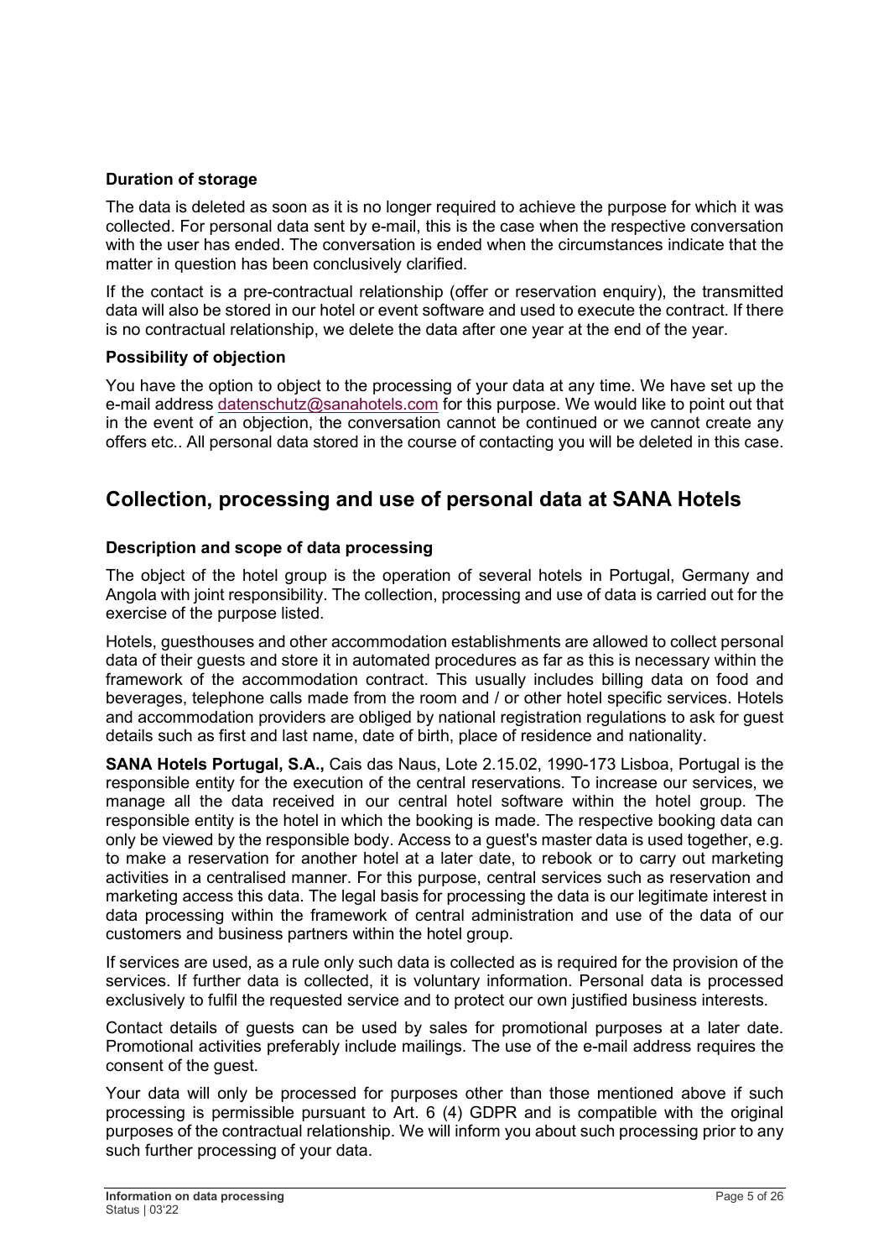### **Duration of storage**

The data is deleted as soon as it is no longer required to achieve the purpose for which it was collected. For personal data sent by e-mail, this is the case when the respective conversation with the user has ended. The conversation is ended when the circumstances indicate that the matter in question has been conclusively clarified.

If the contact is a pre-contractual relationship (offer or reservation enquiry), the transmitted data will also be stored in our hotel or event software and used to execute the contract. If there is no contractual relationship, we delete the data after one year at the end of the year.

#### **Possibility of objection**

You have the option to object to the processing of your data at any time. We have set up the e-mail address datenschutz@sanahotels.com for this purpose. We would like to point out that in the event of an objection, the conversation cannot be continued or we cannot create any offers etc.. All personal data stored in the course of contacting you will be deleted in this case.

# **Collection, processing and use of personal data at SANA Hotels**

### **Description and scope of data processing**

The object of the hotel group is the operation of several hotels in Portugal, Germany and Angola with joint responsibility. The collection, processing and use of data is carried out for the exercise of the purpose listed.

Hotels, guesthouses and other accommodation establishments are allowed to collect personal data of their guests and store it in automated procedures as far as this is necessary within the framework of the accommodation contract. This usually includes billing data on food and beverages, telephone calls made from the room and / or other hotel specific services. Hotels and accommodation providers are obliged by national registration regulations to ask for guest details such as first and last name, date of birth, place of residence and nationality.

**SANA Hotels Portugal, S.A.,** Cais das Naus, Lote 2.15.02, 1990-173 Lisboa, Portugal is the responsible entity for the execution of the central reservations. To increase our services, we manage all the data received in our central hotel software within the hotel group. The responsible entity is the hotel in which the booking is made. The respective booking data can only be viewed by the responsible body. Access to a guest's master data is used together, e.g. to make a reservation for another hotel at a later date, to rebook or to carry out marketing activities in a centralised manner. For this purpose, central services such as reservation and marketing access this data. The legal basis for processing the data is our legitimate interest in data processing within the framework of central administration and use of the data of our customers and business partners within the hotel group.

If services are used, as a rule only such data is collected as is required for the provision of the services. If further data is collected, it is voluntary information. Personal data is processed exclusively to fulfil the requested service and to protect our own justified business interests.

Contact details of guests can be used by sales for promotional purposes at a later date. Promotional activities preferably include mailings. The use of the e-mail address requires the consent of the guest.

Your data will only be processed for purposes other than those mentioned above if such processing is permissible pursuant to Art. 6 (4) GDPR and is compatible with the original purposes of the contractual relationship. We will inform you about such processing prior to any such further processing of your data.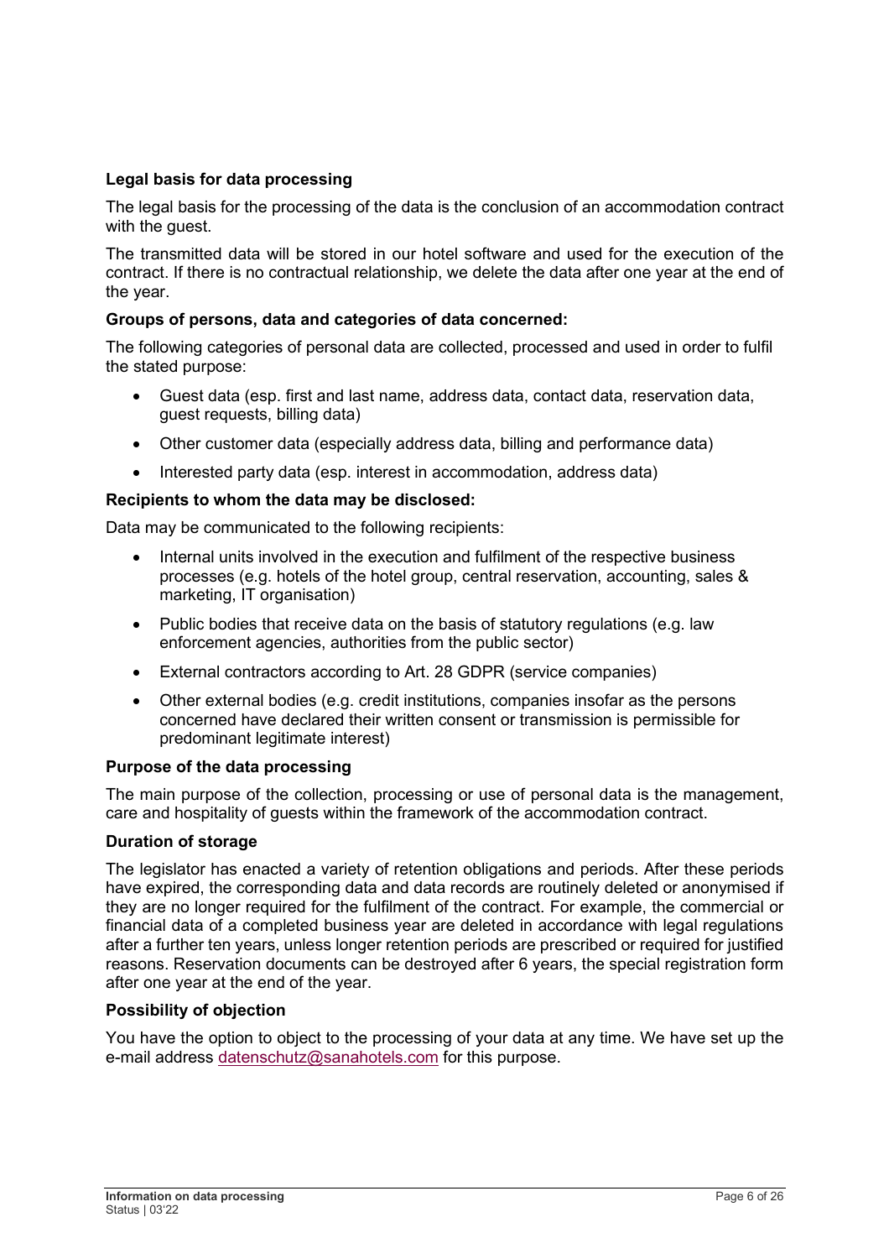### **Legal basis for data processing**

The legal basis for the processing of the data is the conclusion of an accommodation contract with the quest.

The transmitted data will be stored in our hotel software and used for the execution of the contract. If there is no contractual relationship, we delete the data after one year at the end of the year.

#### **Groups of persons, data and categories of data concerned:**

The following categories of personal data are collected, processed and used in order to fulfil the stated purpose:

- Guest data (esp. first and last name, address data, contact data, reservation data, guest requests, billing data)
- Other customer data (especially address data, billing and performance data)
- Interested party data (esp. interest in accommodation, address data)

#### **Recipients to whom the data may be disclosed:**

Data may be communicated to the following recipients:

- Internal units involved in the execution and fulfilment of the respective business processes (e.g. hotels of the hotel group, central reservation, accounting, sales & marketing, IT organisation)
- Public bodies that receive data on the basis of statutory regulations (e.g. law enforcement agencies, authorities from the public sector)
- External contractors according to Art. 28 GDPR (service companies)
- Other external bodies (e.g. credit institutions, companies insofar as the persons concerned have declared their written consent or transmission is permissible for predominant legitimate interest)

#### **Purpose of the data processing**

The main purpose of the collection, processing or use of personal data is the management, care and hospitality of guests within the framework of the accommodation contract.

#### **Duration of storage**

The legislator has enacted a variety of retention obligations and periods. After these periods have expired, the corresponding data and data records are routinely deleted or anonymised if they are no longer required for the fulfilment of the contract. For example, the commercial or financial data of a completed business year are deleted in accordance with legal regulations after a further ten years, unless longer retention periods are prescribed or required for justified reasons. Reservation documents can be destroyed after 6 years, the special registration form after one year at the end of the year.

#### **Possibility of objection**

You have the option to object to the processing of your data at any time. We have set up the e-mail address datenschutz@sanahotels.com for this purpose.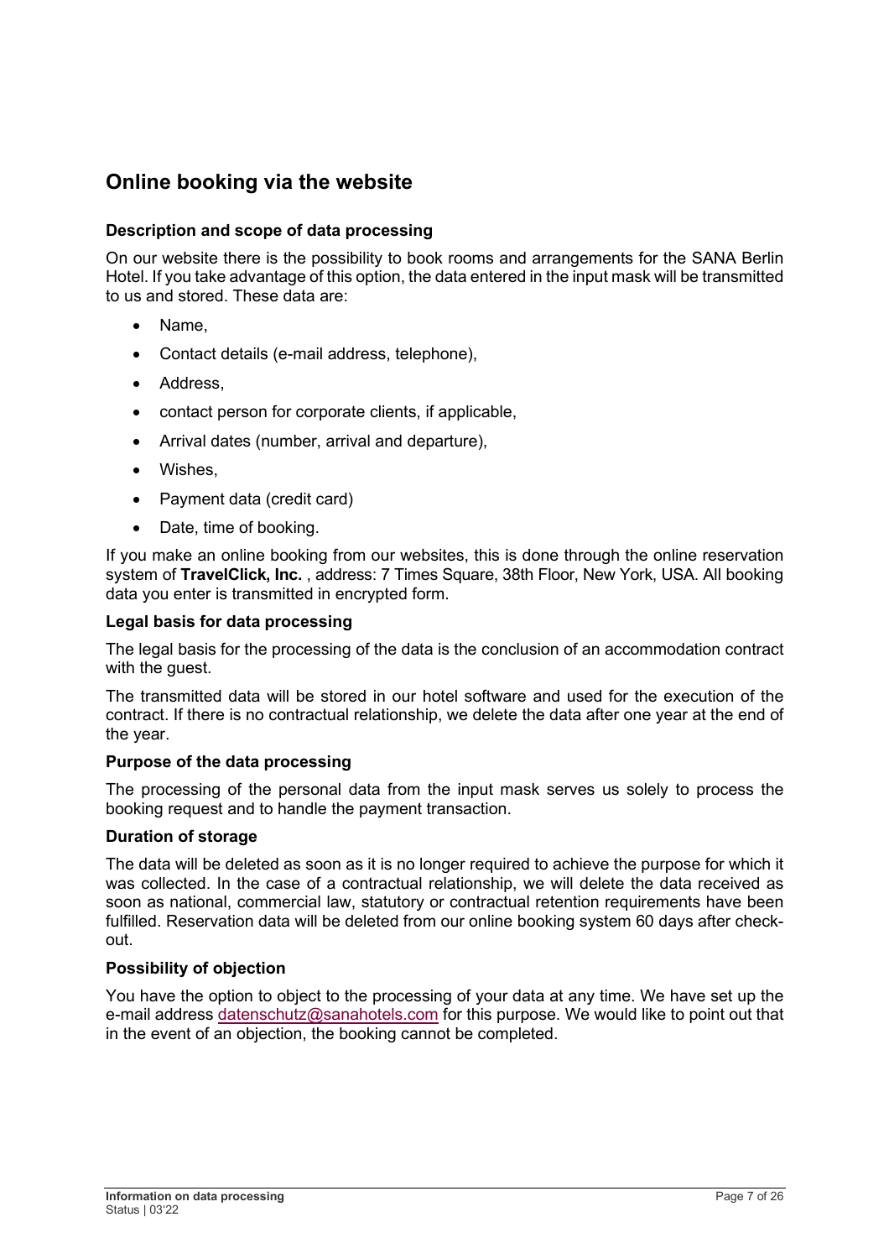# **Online booking via the website**

### **Description and scope of data processing**

On our website there is the possibility to book rooms and arrangements for the SANA Berlin Hotel. If you take advantage of this option, the data entered in the input mask will be transmitted to us and stored. These data are:

- Name,
- Contact details (e-mail address, telephone),
- Address.
- contact person for corporate clients, if applicable,
- Arrival dates (number, arrival and departure),
- Wishes,
- Payment data (credit card)
- Date, time of booking.

If you make an online booking from our websites, this is done through the online reservation system of **TravelClick, Inc.** , address: 7 Times Square, 38th Floor, New York, USA. All booking data you enter is transmitted in encrypted form.

#### **Legal basis for data processing**

The legal basis for the processing of the data is the conclusion of an accommodation contract with the guest.

The transmitted data will be stored in our hotel software and used for the execution of the contract. If there is no contractual relationship, we delete the data after one year at the end of the year.

#### **Purpose of the data processing**

The processing of the personal data from the input mask serves us solely to process the booking request and to handle the payment transaction.

#### **Duration of storage**

The data will be deleted as soon as it is no longer required to achieve the purpose for which it was collected. In the case of a contractual relationship, we will delete the data received as soon as national, commercial law, statutory or contractual retention requirements have been fulfilled. Reservation data will be deleted from our online booking system 60 days after checkout.

#### **Possibility of objection**

You have the option to object to the processing of your data at any time. We have set up the e-mail address datenschutz@sanahotels.com for this purpose. We would like to point out that in the event of an objection, the booking cannot be completed.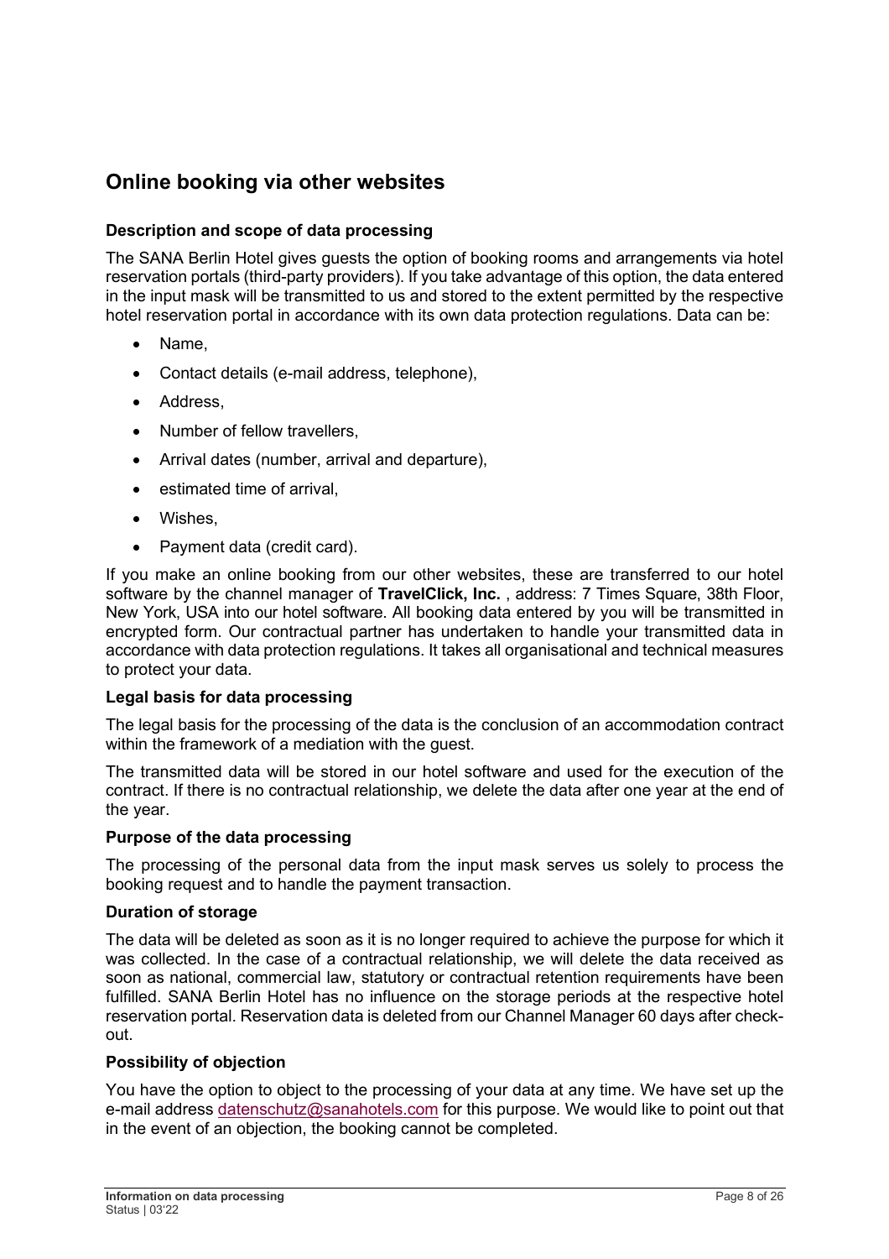# **Online booking via other websites**

### **Description and scope of data processing**

The SANA Berlin Hotel gives guests the option of booking rooms and arrangements via hotel reservation portals (third-party providers). If you take advantage of this option, the data entered in the input mask will be transmitted to us and stored to the extent permitted by the respective hotel reservation portal in accordance with its own data protection regulations. Data can be:

- Name.
- Contact details (e-mail address, telephone),
- Address.
- Number of fellow travellers,
- Arrival dates (number, arrival and departure),
- estimated time of arrival.
- Wishes,
- Payment data (credit card).

If you make an online booking from our other websites, these are transferred to our hotel software by the channel manager of **TravelClick, Inc.** , address: 7 Times Square, 38th Floor, New York, USA into our hotel software. All booking data entered by you will be transmitted in encrypted form. Our contractual partner has undertaken to handle your transmitted data in accordance with data protection regulations. It takes all organisational and technical measures to protect your data.

#### **Legal basis for data processing**

The legal basis for the processing of the data is the conclusion of an accommodation contract within the framework of a mediation with the guest.

The transmitted data will be stored in our hotel software and used for the execution of the contract. If there is no contractual relationship, we delete the data after one year at the end of the year.

#### **Purpose of the data processing**

The processing of the personal data from the input mask serves us solely to process the booking request and to handle the payment transaction.

#### **Duration of storage**

The data will be deleted as soon as it is no longer required to achieve the purpose for which it was collected. In the case of a contractual relationship, we will delete the data received as soon as national, commercial law, statutory or contractual retention requirements have been fulfilled. SANA Berlin Hotel has no influence on the storage periods at the respective hotel reservation portal. Reservation data is deleted from our Channel Manager 60 days after checkout.

#### **Possibility of objection**

You have the option to object to the processing of your data at any time. We have set up the e-mail address datenschutz@sanahotels.com for this purpose. We would like to point out that in the event of an objection, the booking cannot be completed.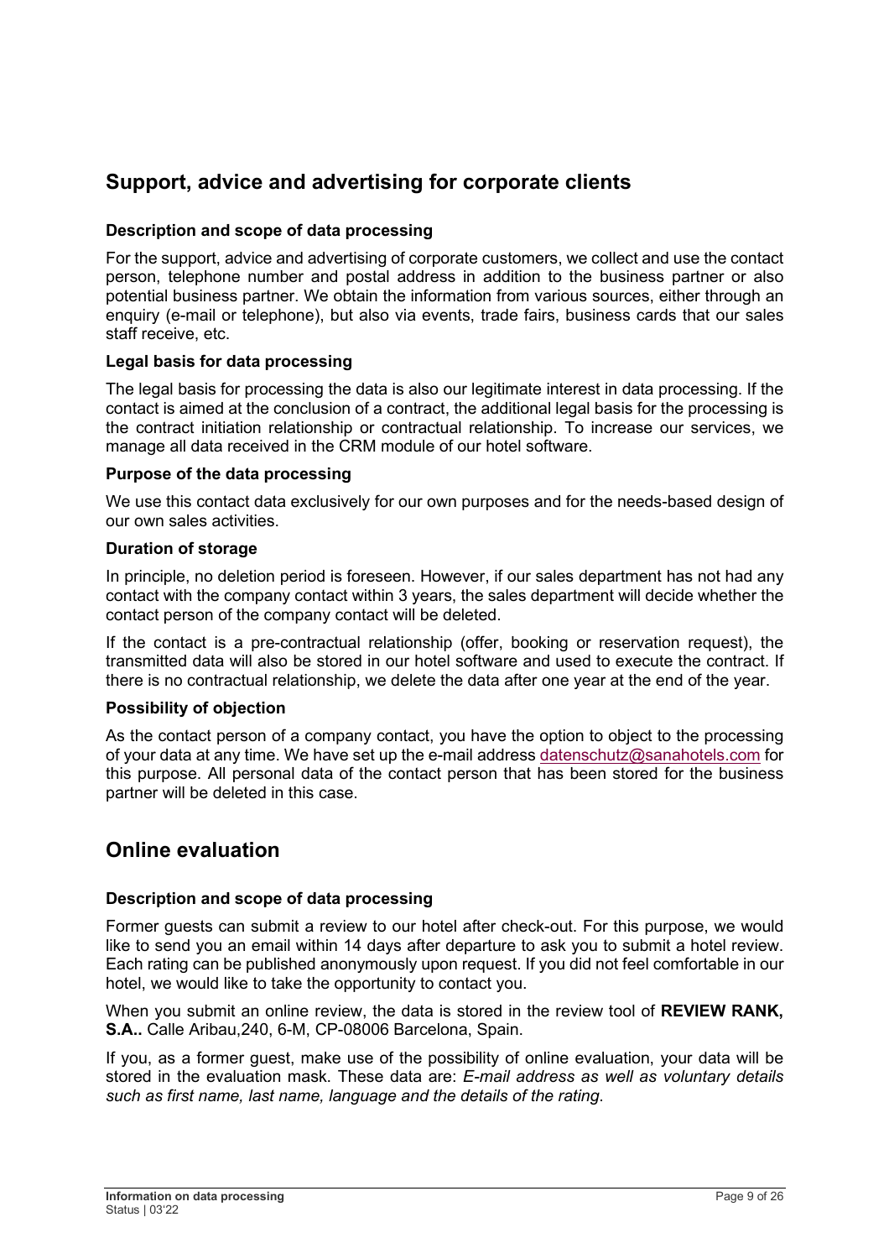# **Support, advice and advertising for corporate clients**

### **Description and scope of data processing**

For the support, advice and advertising of corporate customers, we collect and use the contact person, telephone number and postal address in addition to the business partner or also potential business partner. We obtain the information from various sources, either through an enquiry (e-mail or telephone), but also via events, trade fairs, business cards that our sales staff receive, etc.

#### **Legal basis for data processing**

The legal basis for processing the data is also our legitimate interest in data processing. If the contact is aimed at the conclusion of a contract, the additional legal basis for the processing is the contract initiation relationship or contractual relationship. To increase our services, we manage all data received in the CRM module of our hotel software.

#### **Purpose of the data processing**

We use this contact data exclusively for our own purposes and for the needs-based design of our own sales activities.

#### **Duration of storage**

In principle, no deletion period is foreseen. However, if our sales department has not had any contact with the company contact within 3 years, the sales department will decide whether the contact person of the company contact will be deleted.

If the contact is a pre-contractual relationship (offer, booking or reservation request), the transmitted data will also be stored in our hotel software and used to execute the contract. If there is no contractual relationship, we delete the data after one year at the end of the year.

#### **Possibility of objection**

As the contact person of a company contact, you have the option to object to the processing of your data at any time. We have set up the e-mail address datenschutz@sanahotels.com for this purpose. All personal data of the contact person that has been stored for the business partner will be deleted in this case.

### **Online evaluation**

#### **Description and scope of data processing**

Former guests can submit a review to our hotel after check-out. For this purpose, we would like to send you an email within 14 days after departure to ask you to submit a hotel review. Each rating can be published anonymously upon request. If you did not feel comfortable in our hotel, we would like to take the opportunity to contact you.

When you submit an online review, the data is stored in the review tool of **REVIEW RANK, S.A..** Calle Aribau,240, 6-M, CP-08006 Barcelona, Spain.

If you, as a former guest, make use of the possibility of online evaluation, your data will be stored in the evaluation mask. These data are: *E-mail address as well as voluntary details such as first name, last name, language and the details of the rating*.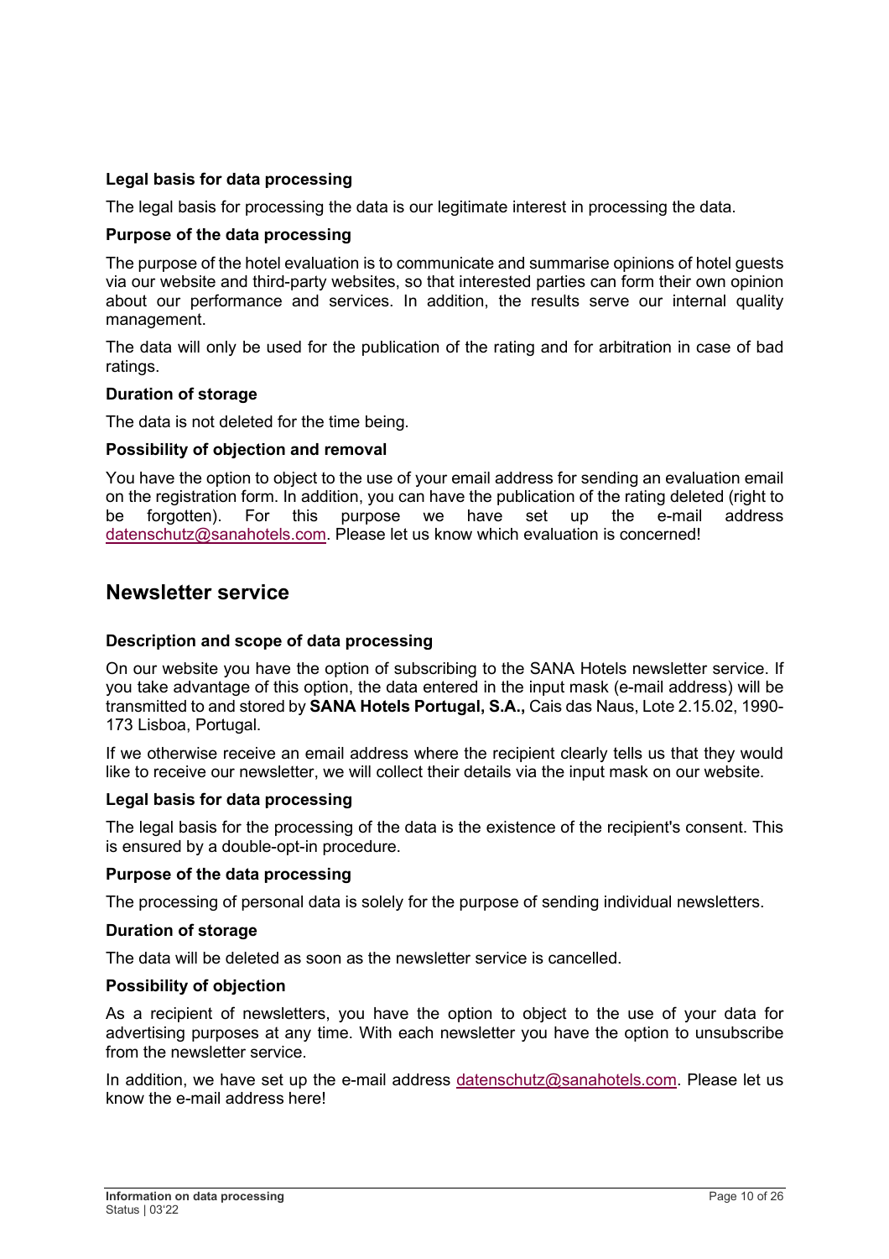#### **Legal basis for data processing**

The legal basis for processing the data is our legitimate interest in processing the data.

#### **Purpose of the data processing**

The purpose of the hotel evaluation is to communicate and summarise opinions of hotel guests via our website and third-party websites, so that interested parties can form their own opinion about our performance and services. In addition, the results serve our internal quality management.

The data will only be used for the publication of the rating and for arbitration in case of bad ratings.

#### **Duration of storage**

The data is not deleted for the time being.

#### **Possibility of objection and removal**

You have the option to object to the use of your email address for sending an evaluation email on the registration form. In addition, you can have the publication of the rating deleted (right to be forgotten). For this purpose we have set up the e-mail address datenschutz@sanahotels.com. Please let us know which evaluation is concerned!

### **Newsletter service**

#### **Description and scope of data processing**

On our website you have the option of subscribing to the SANA Hotels newsletter service. If you take advantage of this option, the data entered in the input mask (e-mail address) will be transmitted to and stored by **SANA Hotels Portugal, S.A.,** Cais das Naus, Lote 2.15.02, 1990- 173 Lisboa, Portugal.

If we otherwise receive an email address where the recipient clearly tells us that they would like to receive our newsletter, we will collect their details via the input mask on our website.

#### **Legal basis for data processing**

The legal basis for the processing of the data is the existence of the recipient's consent. This is ensured by a double-opt-in procedure.

#### **Purpose of the data processing**

The processing of personal data is solely for the purpose of sending individual newsletters.

#### **Duration of storage**

The data will be deleted as soon as the newsletter service is cancelled.

#### **Possibility of objection**

As a recipient of newsletters, you have the option to object to the use of your data for advertising purposes at any time. With each newsletter you have the option to unsubscribe from the newsletter service.

In addition, we have set up the e-mail address datenschutz@sanahotels.com. Please let us know the e-mail address here!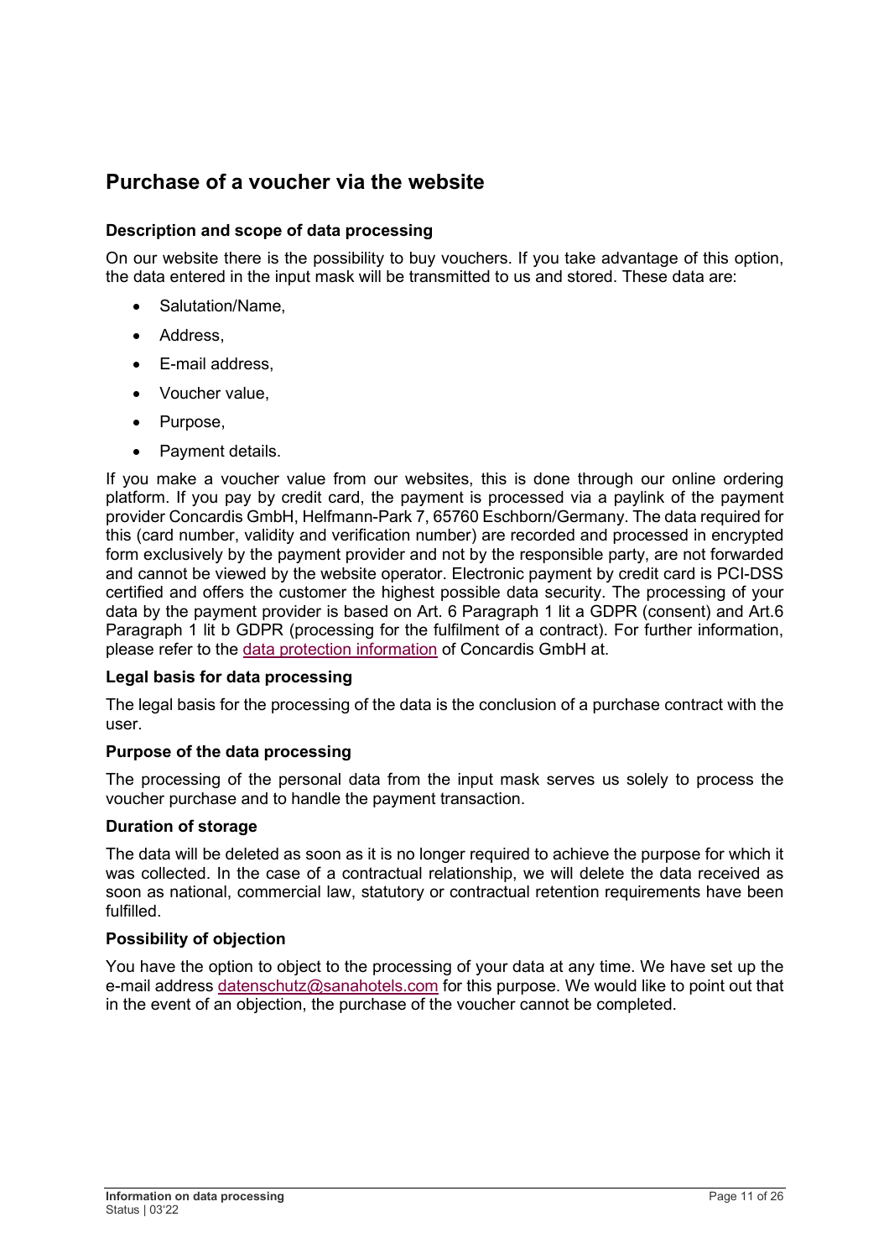# **Purchase of a voucher via the website**

### **Description and scope of data processing**

On our website there is the possibility to buy vouchers. If you take advantage of this option, the data entered in the input mask will be transmitted to us and stored. These data are:

- Salutation/Name.
- Address,
- E-mail address,
- Voucher value.
- Purpose,
- Payment details.

If you make a voucher value from our websites, this is done through our online ordering platform. If you pay by credit card, the payment is processed via a paylink of the payment provider Concardis GmbH, Helfmann-Park 7, 65760 Eschborn/Germany. The data required for this (card number, validity and verification number) are recorded and processed in encrypted form exclusively by the payment provider and not by the responsible party, are not forwarded and cannot be viewed by the website operator. Electronic payment by credit card is PCI-DSS certified and offers the customer the highest possible data security. The processing of your data by the payment provider is based on Art. 6 Paragraph 1 lit a GDPR (consent) and Art.6 Paragraph 1 lit b GDPR (processing for the fulfilment of a contract). For further information, please refer to the data protection information of Concardis GmbH at.

#### **Legal basis for data processing**

The legal basis for the processing of the data is the conclusion of a purchase contract with the user.

#### **Purpose of the data processing**

The processing of the personal data from the input mask serves us solely to process the voucher purchase and to handle the payment transaction.

#### **Duration of storage**

The data will be deleted as soon as it is no longer required to achieve the purpose for which it was collected. In the case of a contractual relationship, we will delete the data received as soon as national, commercial law, statutory or contractual retention requirements have been fulfilled.

#### **Possibility of objection**

You have the option to object to the processing of your data at any time. We have set up the e-mail address datenschutz@sanahotels.com for this purpose. We would like to point out that in the event of an objection, the purchase of the voucher cannot be completed.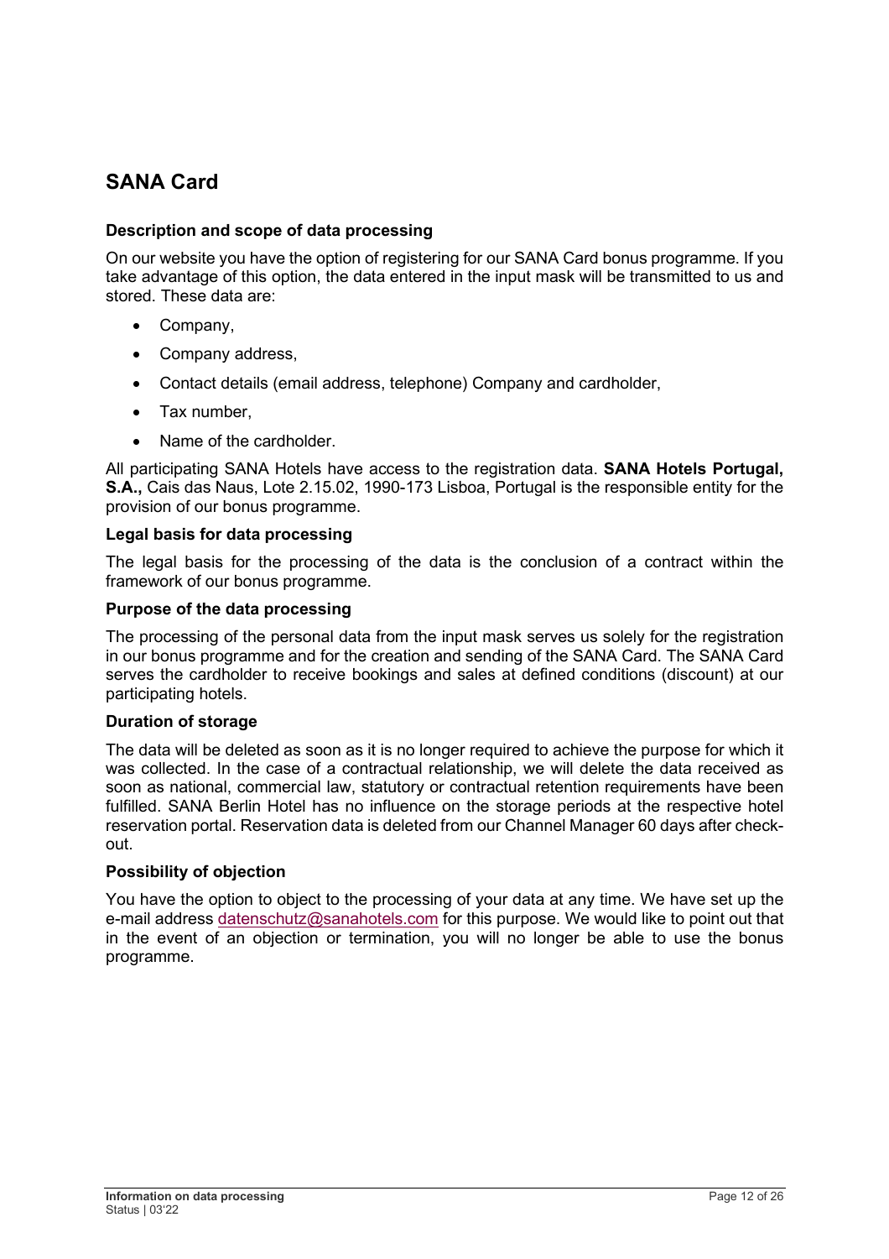# **SANA Card**

### **Description and scope of data processing**

On our website you have the option of registering for our SANA Card bonus programme. If you take advantage of this option, the data entered in the input mask will be transmitted to us and stored. These data are:

- Company.
- Company address,
- Contact details (email address, telephone) Company and cardholder,
- Tax number,
- Name of the cardholder.

All participating SANA Hotels have access to the registration data. **SANA Hotels Portugal, S.A.,** Cais das Naus, Lote 2.15.02, 1990-173 Lisboa, Portugal is the responsible entity for the provision of our bonus programme.

#### **Legal basis for data processing**

The legal basis for the processing of the data is the conclusion of a contract within the framework of our bonus programme.

#### **Purpose of the data processing**

The processing of the personal data from the input mask serves us solely for the registration in our bonus programme and for the creation and sending of the SANA Card. The SANA Card serves the cardholder to receive bookings and sales at defined conditions (discount) at our participating hotels.

#### **Duration of storage**

The data will be deleted as soon as it is no longer required to achieve the purpose for which it was collected. In the case of a contractual relationship, we will delete the data received as soon as national, commercial law, statutory or contractual retention requirements have been fulfilled. SANA Berlin Hotel has no influence on the storage periods at the respective hotel reservation portal. Reservation data is deleted from our Channel Manager 60 days after checkout.

#### **Possibility of objection**

You have the option to object to the processing of your data at any time. We have set up the e-mail address datenschutz@sanahotels.com for this purpose. We would like to point out that in the event of an objection or termination, you will no longer be able to use the bonus programme.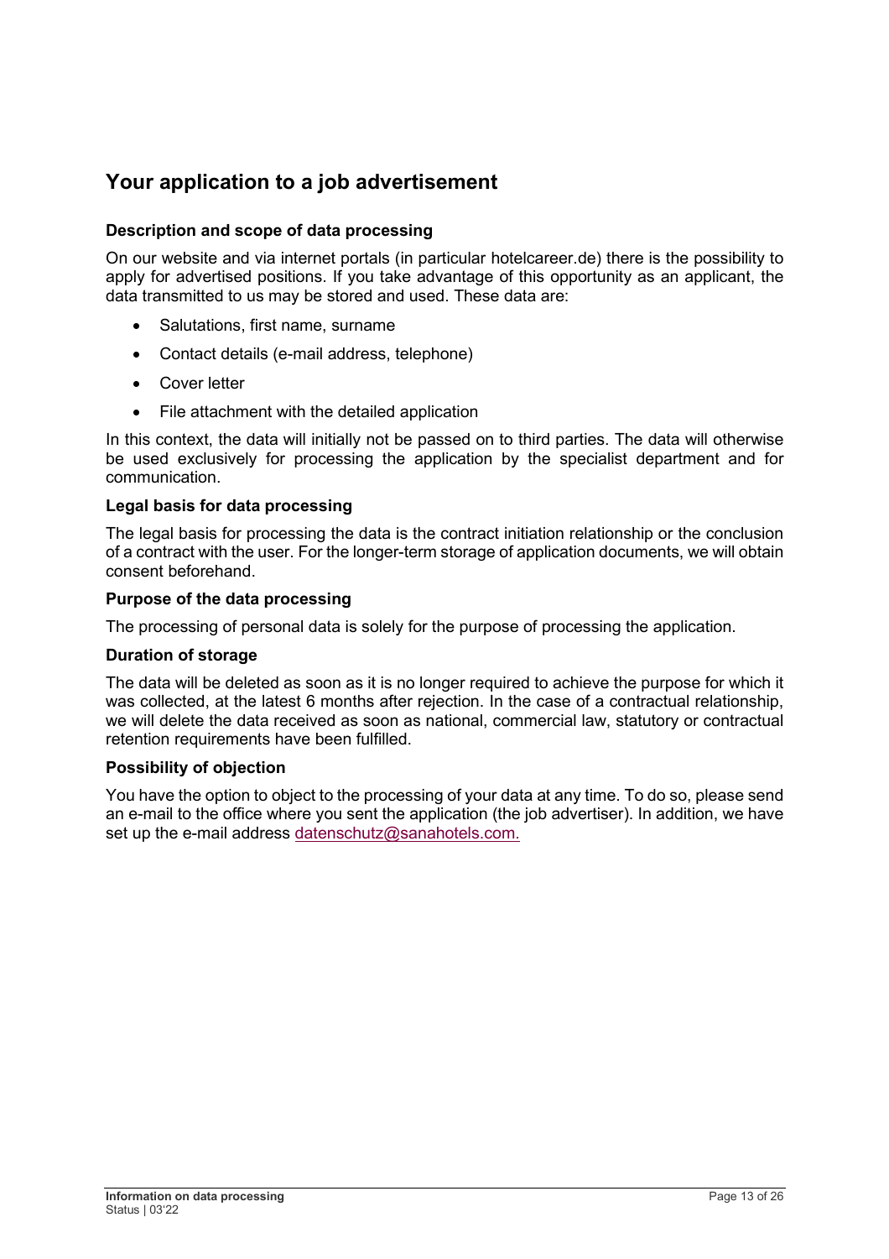# **Your application to a job advertisement**

### **Description and scope of data processing**

On our website and via internet portals (in particular hotelcareer.de) there is the possibility to apply for advertised positions. If you take advantage of this opportunity as an applicant, the data transmitted to us may be stored and used. These data are:

- Salutations, first name, surname
- Contact details (e-mail address, telephone)
- Cover letter
- File attachment with the detailed application

In this context, the data will initially not be passed on to third parties. The data will otherwise be used exclusively for processing the application by the specialist department and for communication.

#### **Legal basis for data processing**

The legal basis for processing the data is the contract initiation relationship or the conclusion of a contract with the user. For the longer-term storage of application documents, we will obtain consent beforehand.

#### **Purpose of the data processing**

The processing of personal data is solely for the purpose of processing the application.

#### **Duration of storage**

The data will be deleted as soon as it is no longer required to achieve the purpose for which it was collected, at the latest 6 months after rejection. In the case of a contractual relationship, we will delete the data received as soon as national, commercial law, statutory or contractual retention requirements have been fulfilled.

#### **Possibility of objection**

You have the option to object to the processing of your data at any time. To do so, please send an e-mail to the office where you sent the application (the job advertiser). In addition, we have set up the e-mail address datenschutz@sanahotels.com.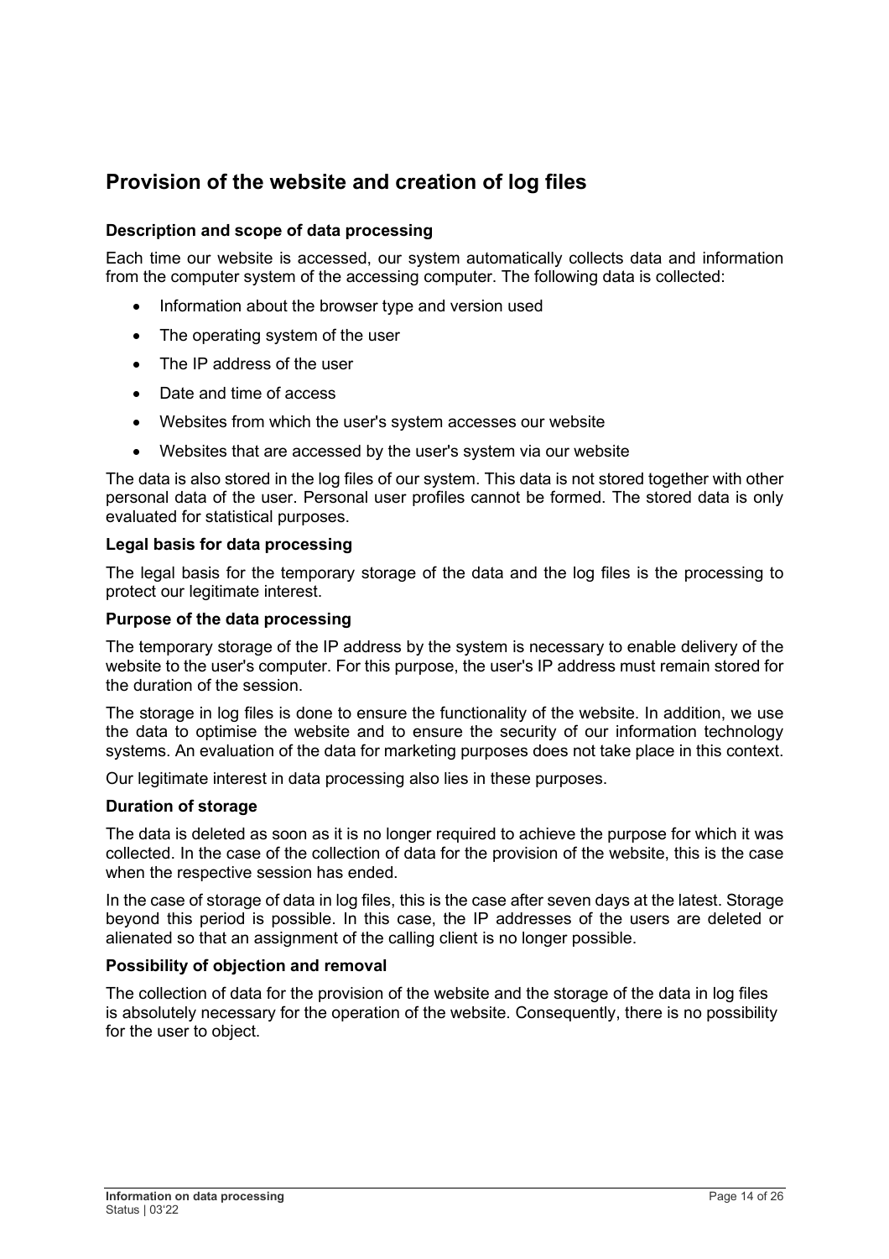# **Provision of the website and creation of log files**

#### **Description and scope of data processing**

Each time our website is accessed, our system automatically collects data and information from the computer system of the accessing computer. The following data is collected:

- Information about the browser type and version used
- The operating system of the user
- The IP address of the user
- Date and time of access
- Websites from which the user's system accesses our website
- Websites that are accessed by the user's system via our website

The data is also stored in the log files of our system. This data is not stored together with other personal data of the user. Personal user profiles cannot be formed. The stored data is only evaluated for statistical purposes.

#### **Legal basis for data processing**

The legal basis for the temporary storage of the data and the log files is the processing to protect our legitimate interest.

#### **Purpose of the data processing**

The temporary storage of the IP address by the system is necessary to enable delivery of the website to the user's computer. For this purpose, the user's IP address must remain stored for the duration of the session.

The storage in log files is done to ensure the functionality of the website. In addition, we use the data to optimise the website and to ensure the security of our information technology systems. An evaluation of the data for marketing purposes does not take place in this context.

Our legitimate interest in data processing also lies in these purposes.

#### **Duration of storage**

The data is deleted as soon as it is no longer required to achieve the purpose for which it was collected. In the case of the collection of data for the provision of the website, this is the case when the respective session has ended.

In the case of storage of data in log files, this is the case after seven days at the latest. Storage beyond this period is possible. In this case, the IP addresses of the users are deleted or alienated so that an assignment of the calling client is no longer possible.

#### **Possibility of objection and removal**

The collection of data for the provision of the website and the storage of the data in log files is absolutely necessary for the operation of the website. Consequently, there is no possibility for the user to object.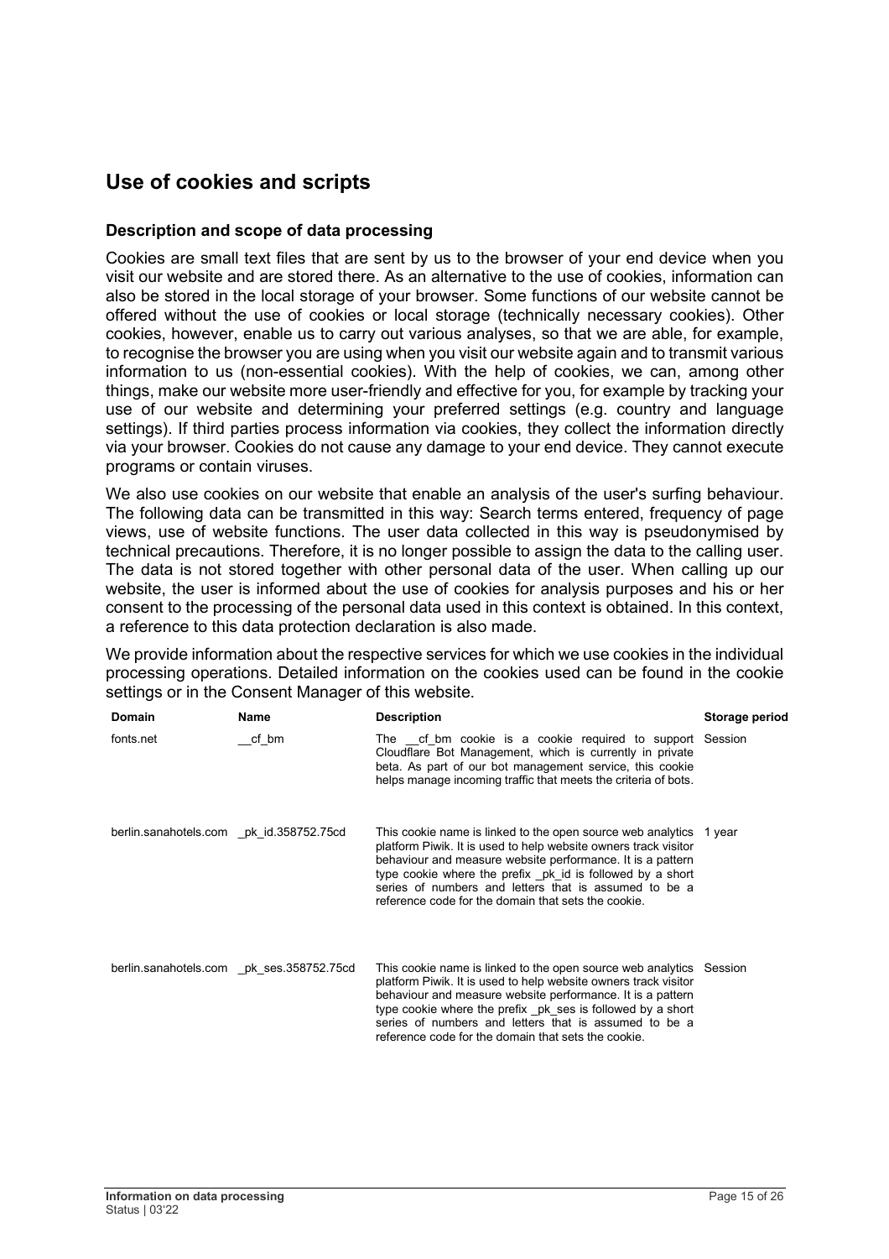# **Use of cookies and scripts**

#### **Description and scope of data processing**

Cookies are small text files that are sent by us to the browser of your end device when you visit our website and are stored there. As an alternative to the use of cookies, information can also be stored in the local storage of your browser. Some functions of our website cannot be offered without the use of cookies or local storage (technically necessary cookies). Other cookies, however, enable us to carry out various analyses, so that we are able, for example, to recognise the browser you are using when you visit our website again and to transmit various information to us (non-essential cookies). With the help of cookies, we can, among other things, make our website more user-friendly and effective for you, for example by tracking your use of our website and determining your preferred settings (e.g. country and language settings). If third parties process information via cookies, they collect the information directly via your browser. Cookies do not cause any damage to your end device. They cannot execute programs or contain viruses.

We also use cookies on our website that enable an analysis of the user's surfing behaviour. The following data can be transmitted in this way: Search terms entered, frequency of page views, use of website functions. The user data collected in this way is pseudonymised by technical precautions. Therefore, it is no longer possible to assign the data to the calling user. The data is not stored together with other personal data of the user. When calling up our website, the user is informed about the use of cookies for analysis purposes and his or her consent to the processing of the personal data used in this context is obtained. In this context, a reference to this data protection declaration is also made.

We provide information about the respective services for which we use cookies in the individual processing operations. Detailed information on the cookies used can be found in the cookie settings or in the Consent Manager of this website.

| <b>Domain</b>                           | Name                                     | <b>Description</b>                                                                                                                                                                                                                                                                                                                                                                 | Storage period |
|-----------------------------------------|------------------------------------------|------------------------------------------------------------------------------------------------------------------------------------------------------------------------------------------------------------------------------------------------------------------------------------------------------------------------------------------------------------------------------------|----------------|
| fonts.net                               | cf bm                                    | The cf bm cookie is a cookie required to support Session<br>Cloudflare Bot Management, which is currently in private<br>beta. As part of our bot management service, this cookie<br>helps manage incoming traffic that meets the criteria of bots.                                                                                                                                 |                |
| berlin.sanahotels.com pk id.358752.75cd |                                          | This cookie name is linked to the open source web analytics 1 year<br>platform Piwik. It is used to help website owners track visitor<br>behaviour and measure website performance. It is a pattern<br>type cookie where the prefix pk id is followed by a short<br>series of numbers and letters that is assumed to be a<br>reference code for the domain that sets the cookie.   |                |
|                                         | berlin.sanahotels.com pk ses.358752.75cd | This cookie name is linked to the open source web analytics Session<br>platform Piwik. It is used to help website owners track visitor<br>behaviour and measure website performance. It is a pattern<br>type cookie where the prefix pk ses is followed by a short<br>series of numbers and letters that is assumed to be a<br>reference code for the domain that sets the cookie. |                |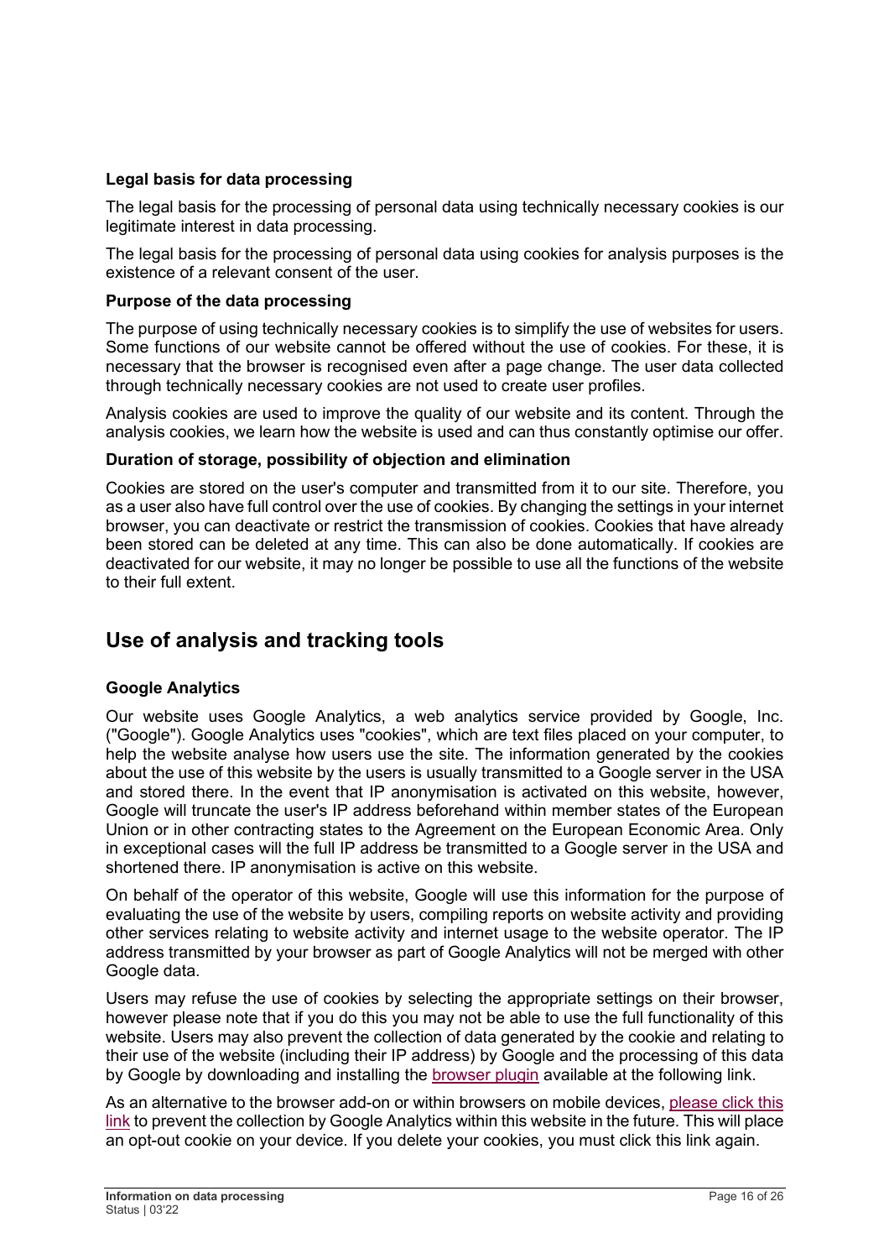#### **Legal basis for data processing**

The legal basis for the processing of personal data using technically necessary cookies is our legitimate interest in data processing.

The legal basis for the processing of personal data using cookies for analysis purposes is the existence of a relevant consent of the user.

#### **Purpose of the data processing**

The purpose of using technically necessary cookies is to simplify the use of websites for users. Some functions of our website cannot be offered without the use of cookies. For these, it is necessary that the browser is recognised even after a page change. The user data collected through technically necessary cookies are not used to create user profiles.

Analysis cookies are used to improve the quality of our website and its content. Through the analysis cookies, we learn how the website is used and can thus constantly optimise our offer.

#### **Duration of storage, possibility of objection and elimination**

Cookies are stored on the user's computer and transmitted from it to our site. Therefore, you as a user also have full control over the use of cookies. By changing the settings in your internet browser, you can deactivate or restrict the transmission of cookies. Cookies that have already been stored can be deleted at any time. This can also be done automatically. If cookies are deactivated for our website, it may no longer be possible to use all the functions of the website to their full extent.

### **Use of analysis and tracking tools**

#### **Google Analytics**

Our website uses Google Analytics, a web analytics service provided by Google, Inc. ("Google"). Google Analytics uses "cookies", which are text files placed on your computer, to help the website analyse how users use the site. The information generated by the cookies about the use of this website by the users is usually transmitted to a Google server in the USA and stored there. In the event that IP anonymisation is activated on this website, however, Google will truncate the user's IP address beforehand within member states of the European Union or in other contracting states to the Agreement on the European Economic Area. Only in exceptional cases will the full IP address be transmitted to a Google server in the USA and shortened there. IP anonymisation is active on this website.

On behalf of the operator of this website, Google will use this information for the purpose of evaluating the use of the website by users, compiling reports on website activity and providing other services relating to website activity and internet usage to the website operator. The IP address transmitted by your browser as part of Google Analytics will not be merged with other Google data.

Users may refuse the use of cookies by selecting the appropriate settings on their browser, however please note that if you do this you may not be able to use the full functionality of this website. Users may also prevent the collection of data generated by the cookie and relating to their use of the website (including their IP address) by Google and the processing of this data by Google by downloading and installing the browser plugin available at the following link.

As an alternative to the browser add-on or within browsers on mobile devices, please click this link to prevent the collection by Google Analytics within this website in the future. This will place an opt-out cookie on your device. If you delete your cookies, you must click this link again.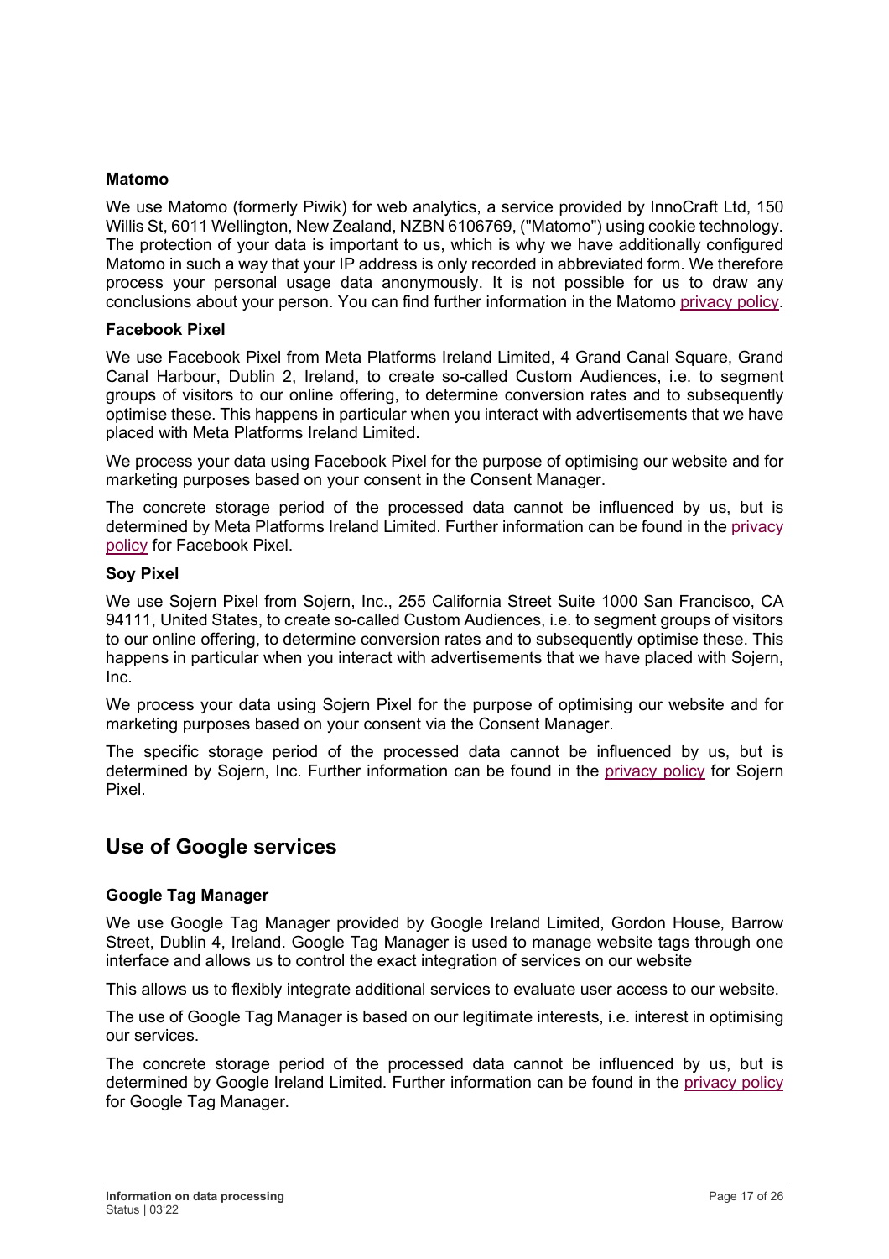#### **Matomo**

We use Matomo (formerly Piwik) for web analytics, a service provided by InnoCraft Ltd, 150 Willis St, 6011 Wellington, New Zealand, NZBN 6106769, ("Matomo") using cookie technology. The protection of your data is important to us, which is why we have additionally configured Matomo in such a way that your IP address is only recorded in abbreviated form. We therefore process your personal usage data anonymously. It is not possible for us to draw any conclusions about your person. You can find further information in the Matomo privacy policy.

#### **Facebook Pixel**

We use Facebook Pixel from Meta Platforms Ireland Limited, 4 Grand Canal Square, Grand Canal Harbour, Dublin 2, Ireland, to create so-called Custom Audiences, i.e. to segment groups of visitors to our online offering, to determine conversion rates and to subsequently optimise these. This happens in particular when you interact with advertisements that we have placed with Meta Platforms Ireland Limited.

We process your data using Facebook Pixel for the purpose of optimising our website and for marketing purposes based on your consent in the Consent Manager.

The concrete storage period of the processed data cannot be influenced by us, but is determined by Meta Platforms Ireland Limited. Further information can be found in the privacy policy for Facebook Pixel.

#### **Soy Pixel**

We use Sojern Pixel from Sojern, Inc., 255 California Street Suite 1000 San Francisco, CA 94111, United States, to create so-called Custom Audiences, i.e. to segment groups of visitors to our online offering, to determine conversion rates and to subsequently optimise these. This happens in particular when you interact with advertisements that we have placed with Sojern, Inc.

We process your data using Sojern Pixel for the purpose of optimising our website and for marketing purposes based on your consent via the Consent Manager.

The specific storage period of the processed data cannot be influenced by us, but is determined by Sojern, Inc. Further information can be found in the privacy policy for Sojern Pixel.

### **Use of Google services**

#### **Google Tag Manager**

We use Google Tag Manager provided by Google Ireland Limited, Gordon House, Barrow Street, Dublin 4, Ireland. Google Tag Manager is used to manage website tags through one interface and allows us to control the exact integration of services on our website

This allows us to flexibly integrate additional services to evaluate user access to our website.

The use of Google Tag Manager is based on our legitimate interests, i.e. interest in optimising our services.

The concrete storage period of the processed data cannot be influenced by us, but is determined by Google Ireland Limited. Further information can be found in the privacy policy for Google Tag Manager.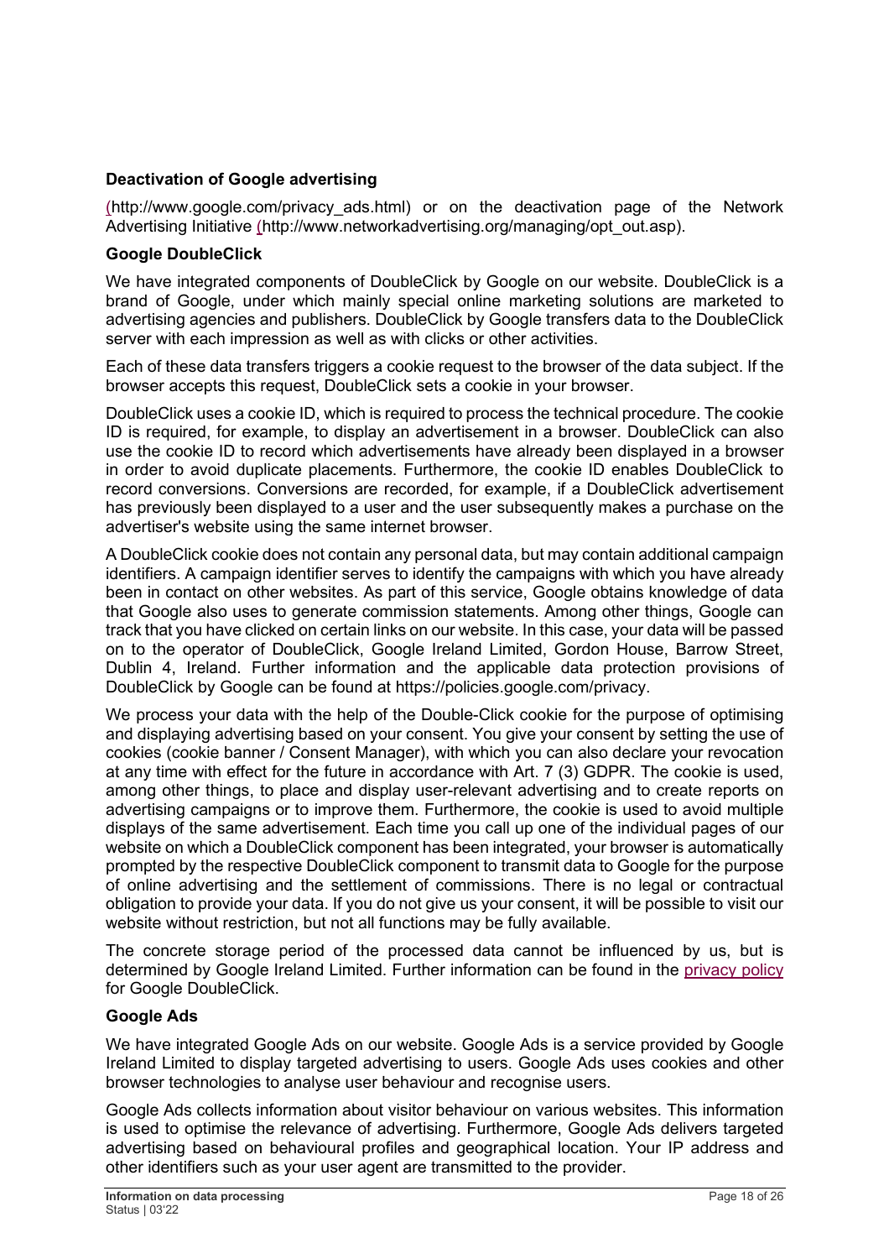### **Deactivation of Google advertising**

(http://www.google.com/privacy\_ads.html) or on the deactivation page of the Network Advertising Initiative (http://www.networkadvertising.org/managing/opt\_out.asp).

#### **Google DoubleClick**

We have integrated components of DoubleClick by Google on our website. DoubleClick is a brand of Google, under which mainly special online marketing solutions are marketed to advertising agencies and publishers. DoubleClick by Google transfers data to the DoubleClick server with each impression as well as with clicks or other activities.

Each of these data transfers triggers a cookie request to the browser of the data subject. If the browser accepts this request, DoubleClick sets a cookie in your browser.

DoubleClick uses a cookie ID, which is required to process the technical procedure. The cookie ID is required, for example, to display an advertisement in a browser. DoubleClick can also use the cookie ID to record which advertisements have already been displayed in a browser in order to avoid duplicate placements. Furthermore, the cookie ID enables DoubleClick to record conversions. Conversions are recorded, for example, if a DoubleClick advertisement has previously been displayed to a user and the user subsequently makes a purchase on the advertiser's website using the same internet browser.

A DoubleClick cookie does not contain any personal data, but may contain additional campaign identifiers. A campaign identifier serves to identify the campaigns with which you have already been in contact on other websites. As part of this service, Google obtains knowledge of data that Google also uses to generate commission statements. Among other things, Google can track that you have clicked on certain links on our website. In this case, your data will be passed on to the operator of DoubleClick, Google Ireland Limited, Gordon House, Barrow Street, Dublin 4, Ireland. Further information and the applicable data protection provisions of DoubleClick by Google can be found at https://policies.google.com/privacy.

We process your data with the help of the Double-Click cookie for the purpose of optimising and displaying advertising based on your consent. You give your consent by setting the use of cookies (cookie banner / Consent Manager), with which you can also declare your revocation at any time with effect for the future in accordance with Art. 7 (3) GDPR. The cookie is used, among other things, to place and display user-relevant advertising and to create reports on advertising campaigns or to improve them. Furthermore, the cookie is used to avoid multiple displays of the same advertisement. Each time you call up one of the individual pages of our website on which a DoubleClick component has been integrated, your browser is automatically prompted by the respective DoubleClick component to transmit data to Google for the purpose of online advertising and the settlement of commissions. There is no legal or contractual obligation to provide your data. If you do not give us your consent, it will be possible to visit our website without restriction, but not all functions may be fully available.

The concrete storage period of the processed data cannot be influenced by us, but is determined by Google Ireland Limited. Further information can be found in the privacy policy for Google DoubleClick.

#### **Google Ads**

We have integrated Google Ads on our website. Google Ads is a service provided by Google Ireland Limited to display targeted advertising to users. Google Ads uses cookies and other browser technologies to analyse user behaviour and recognise users.

Google Ads collects information about visitor behaviour on various websites. This information is used to optimise the relevance of advertising. Furthermore, Google Ads delivers targeted advertising based on behavioural profiles and geographical location. Your IP address and other identifiers such as your user agent are transmitted to the provider.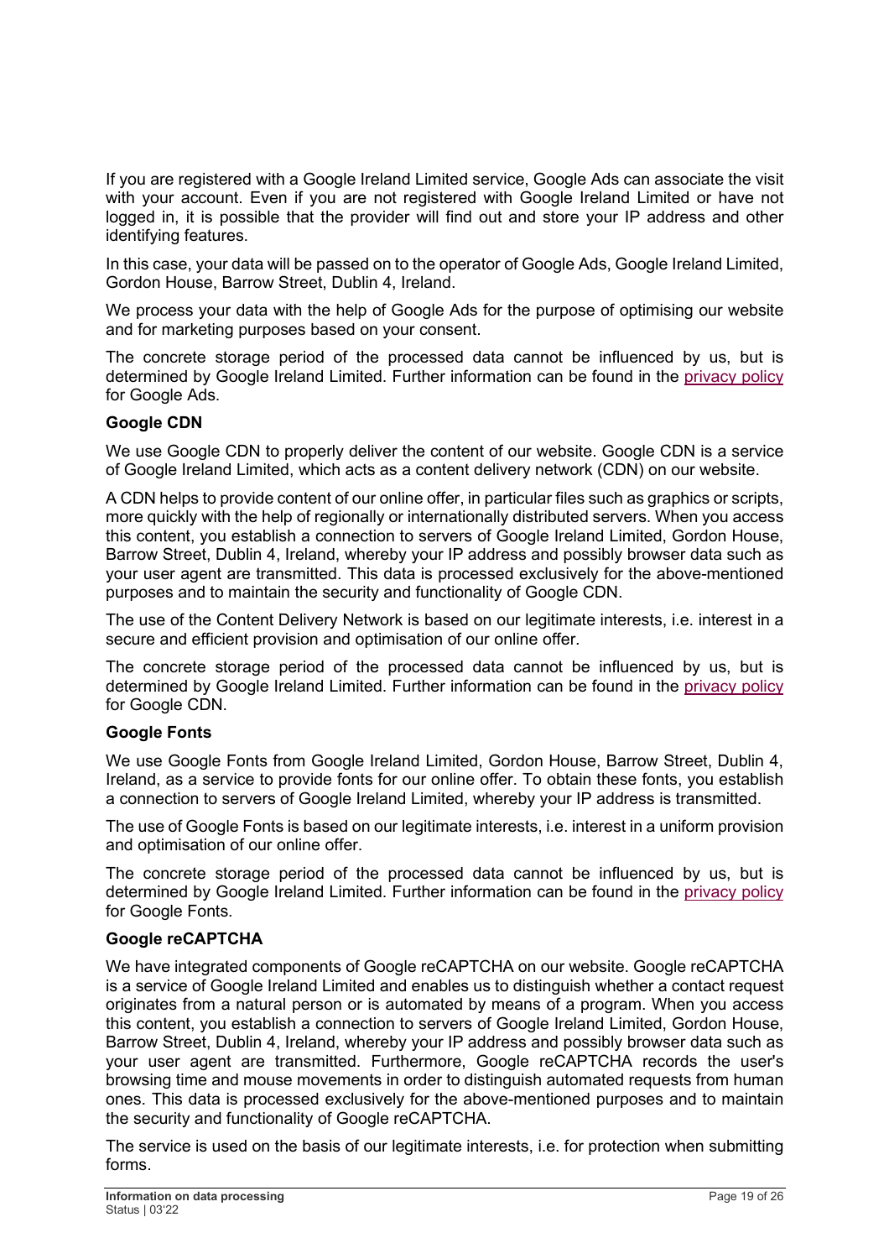If you are registered with a Google Ireland Limited service, Google Ads can associate the visit with your account. Even if you are not registered with Google Ireland Limited or have not logged in, it is possible that the provider will find out and store your IP address and other identifying features.

In this case, your data will be passed on to the operator of Google Ads, Google Ireland Limited, Gordon House, Barrow Street, Dublin 4, Ireland.

We process your data with the help of Google Ads for the purpose of optimising our website and for marketing purposes based on your consent.

The concrete storage period of the processed data cannot be influenced by us, but is determined by Google Ireland Limited. Further information can be found in the privacy policy for Google Ads.

### **Google CDN**

We use Google CDN to properly deliver the content of our website. Google CDN is a service of Google Ireland Limited, which acts as a content delivery network (CDN) on our website.

A CDN helps to provide content of our online offer, in particular files such as graphics or scripts, more quickly with the help of regionally or internationally distributed servers. When you access this content, you establish a connection to servers of Google Ireland Limited, Gordon House, Barrow Street, Dublin 4, Ireland, whereby your IP address and possibly browser data such as your user agent are transmitted. This data is processed exclusively for the above-mentioned purposes and to maintain the security and functionality of Google CDN.

The use of the Content Delivery Network is based on our legitimate interests, i.e. interest in a secure and efficient provision and optimisation of our online offer.

The concrete storage period of the processed data cannot be influenced by us, but is determined by Google Ireland Limited. Further information can be found in the privacy policy for Google CDN.

#### **Google Fonts**

We use Google Fonts from Google Ireland Limited, Gordon House, Barrow Street, Dublin 4, Ireland, as a service to provide fonts for our online offer. To obtain these fonts, you establish a connection to servers of Google Ireland Limited, whereby your IP address is transmitted.

The use of Google Fonts is based on our legitimate interests, i.e. interest in a uniform provision and optimisation of our online offer.

The concrete storage period of the processed data cannot be influenced by us, but is determined by Google Ireland Limited. Further information can be found in the privacy policy for Google Fonts.

#### **Google reCAPTCHA**

We have integrated components of Google reCAPTCHA on our website. Google reCAPTCHA is a service of Google Ireland Limited and enables us to distinguish whether a contact request originates from a natural person or is automated by means of a program. When you access this content, you establish a connection to servers of Google Ireland Limited, Gordon House, Barrow Street, Dublin 4, Ireland, whereby your IP address and possibly browser data such as your user agent are transmitted. Furthermore, Google reCAPTCHA records the user's browsing time and mouse movements in order to distinguish automated requests from human ones. This data is processed exclusively for the above-mentioned purposes and to maintain the security and functionality of Google reCAPTCHA.

The service is used on the basis of our legitimate interests, i.e. for protection when submitting forms.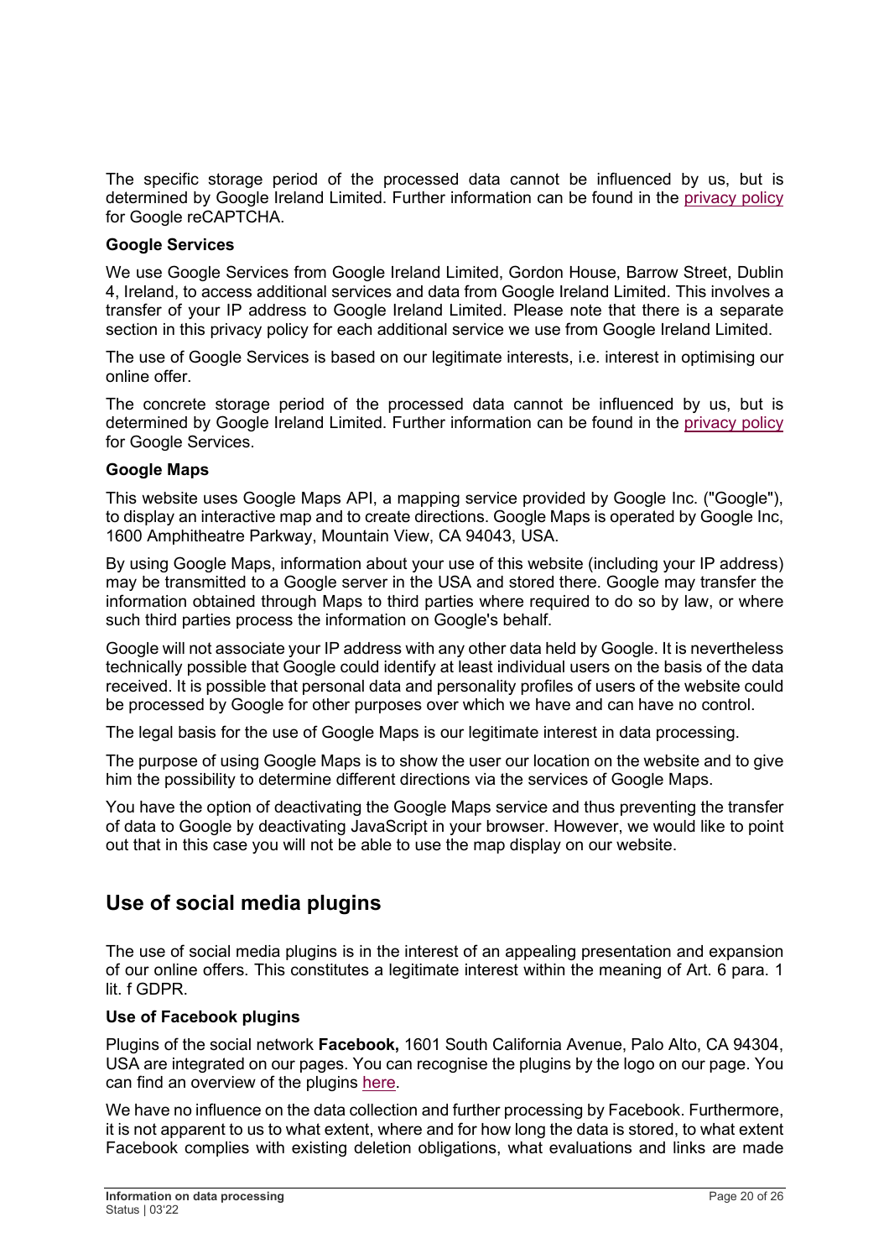The specific storage period of the processed data cannot be influenced by us, but is determined by Google Ireland Limited. Further information can be found in the privacy policy for Google reCAPTCHA.

#### **Google Services**

We use Google Services from Google Ireland Limited, Gordon House, Barrow Street, Dublin 4, Ireland, to access additional services and data from Google Ireland Limited. This involves a transfer of your IP address to Google Ireland Limited. Please note that there is a separate section in this privacy policy for each additional service we use from Google Ireland Limited.

The use of Google Services is based on our legitimate interests, i.e. interest in optimising our online offer.

The concrete storage period of the processed data cannot be influenced by us, but is determined by Google Ireland Limited. Further information can be found in the privacy policy for Google Services.

#### **Google Maps**

This website uses Google Maps API, a mapping service provided by Google Inc. ("Google"), to display an interactive map and to create directions. Google Maps is operated by Google Inc, 1600 Amphitheatre Parkway, Mountain View, CA 94043, USA.

By using Google Maps, information about your use of this website (including your IP address) may be transmitted to a Google server in the USA and stored there. Google may transfer the information obtained through Maps to third parties where required to do so by law, or where such third parties process the information on Google's behalf.

Google will not associate your IP address with any other data held by Google. It is nevertheless technically possible that Google could identify at least individual users on the basis of the data received. It is possible that personal data and personality profiles of users of the website could be processed by Google for other purposes over which we have and can have no control.

The legal basis for the use of Google Maps is our legitimate interest in data processing.

The purpose of using Google Maps is to show the user our location on the website and to give him the possibility to determine different directions via the services of Google Maps.

You have the option of deactivating the Google Maps service and thus preventing the transfer of data to Google by deactivating JavaScript in your browser. However, we would like to point out that in this case you will not be able to use the map display on our website.

# **Use of social media plugins**

The use of social media plugins is in the interest of an appealing presentation and expansion of our online offers. This constitutes a legitimate interest within the meaning of Art. 6 para. 1 lit. f GDPR.

### **Use of Facebook plugins**

Plugins of the social network **Facebook,** 1601 South California Avenue, Palo Alto, CA 94304, USA are integrated on our pages. You can recognise the plugins by the logo on our page. You can find an overview of the plugins here.

We have no influence on the data collection and further processing by Facebook. Furthermore, it is not apparent to us to what extent, where and for how long the data is stored, to what extent Facebook complies with existing deletion obligations, what evaluations and links are made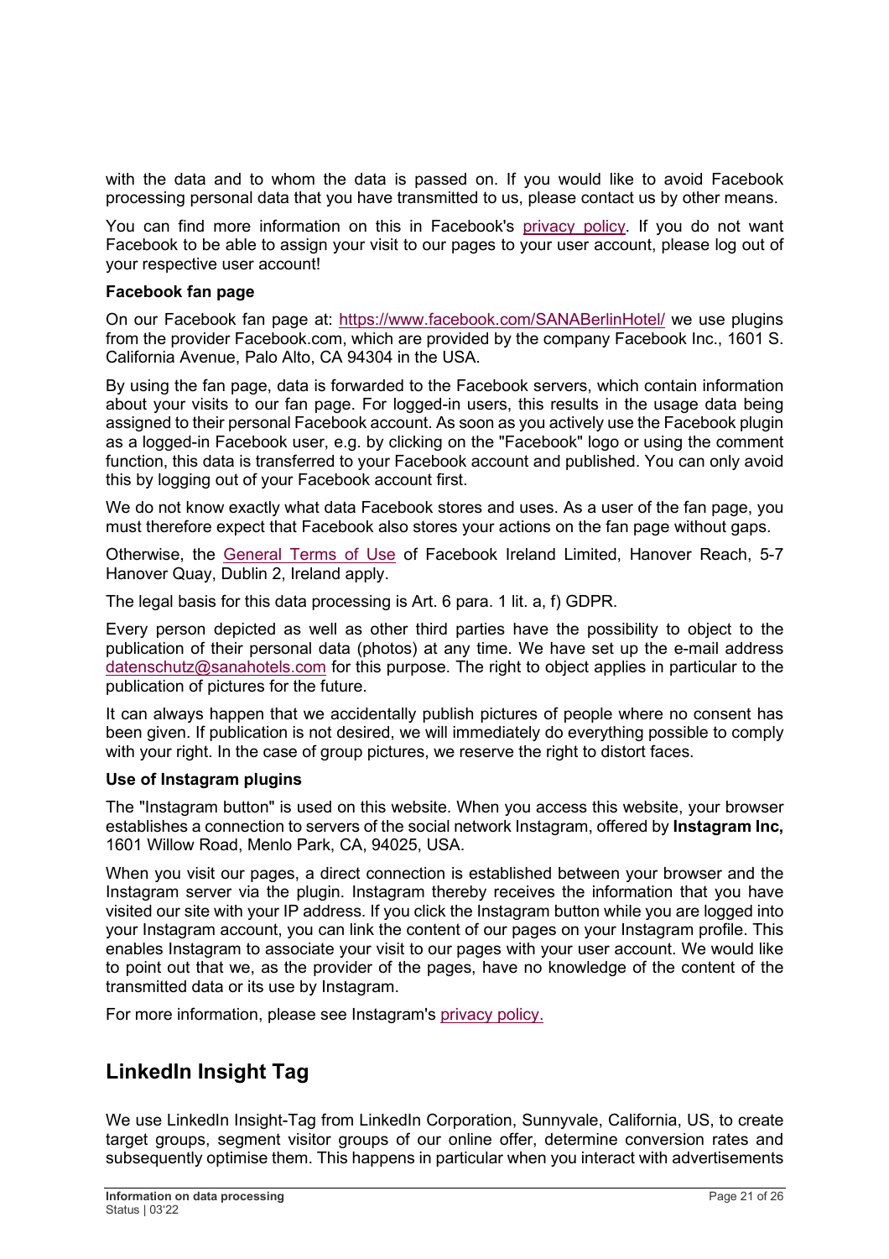with the data and to whom the data is passed on. If you would like to avoid Facebook processing personal data that you have transmitted to us, please contact us by other means.

You can find more information on this in Facebook's privacy policy. If you do not want Facebook to be able to assign your visit to our pages to your user account, please log out of your respective user account!

#### **Facebook fan page**

On our Facebook fan page at: https://www.facebook.com/SANABerlinHotel/ we use plugins from the provider Facebook.com, which are provided by the company Facebook Inc., 1601 S. California Avenue, Palo Alto, CA 94304 in the USA.

By using the fan page, data is forwarded to the Facebook servers, which contain information about your visits to our fan page. For logged-in users, this results in the usage data being assigned to their personal Facebook account. As soon as you actively use the Facebook plugin as a logged-in Facebook user, e.g. by clicking on the "Facebook" logo or using the comment function, this data is transferred to your Facebook account and published. You can only avoid this by logging out of your Facebook account first.

We do not know exactly what data Facebook stores and uses. As a user of the fan page, you must therefore expect that Facebook also stores your actions on the fan page without gaps.

Otherwise, the General Terms of Use of Facebook Ireland Limited, Hanover Reach, 5-7 Hanover Quay, Dublin 2, Ireland apply.

The legal basis for this data processing is Art. 6 para. 1 lit. a, f) GDPR.

Every person depicted as well as other third parties have the possibility to object to the publication of their personal data (photos) at any time. We have set up the e-mail address datenschutz@sanahotels.com for this purpose. The right to object applies in particular to the publication of pictures for the future.

It can always happen that we accidentally publish pictures of people where no consent has been given. If publication is not desired, we will immediately do everything possible to comply with your right. In the case of group pictures, we reserve the right to distort faces.

#### **Use of Instagram plugins**

The "Instagram button" is used on this website. When you access this website, your browser establishes a connection to servers of the social network Instagram, offered by **Instagram Inc,**  1601 Willow Road, Menlo Park, CA, 94025, USA.

When you visit our pages, a direct connection is established between your browser and the Instagram server via the plugin. Instagram thereby receives the information that you have visited our site with your IP address. If you click the Instagram button while you are logged into your Instagram account, you can link the content of our pages on your Instagram profile. This enables Instagram to associate your visit to our pages with your user account. We would like to point out that we, as the provider of the pages, have no knowledge of the content of the transmitted data or its use by Instagram.

For more information, please see Instagram's privacy policy.

# **LinkedIn Insight Tag**

We use LinkedIn Insight-Tag from LinkedIn Corporation, Sunnyvale, California, US, to create target groups, segment visitor groups of our online offer, determine conversion rates and subsequently optimise them. This happens in particular when you interact with advertisements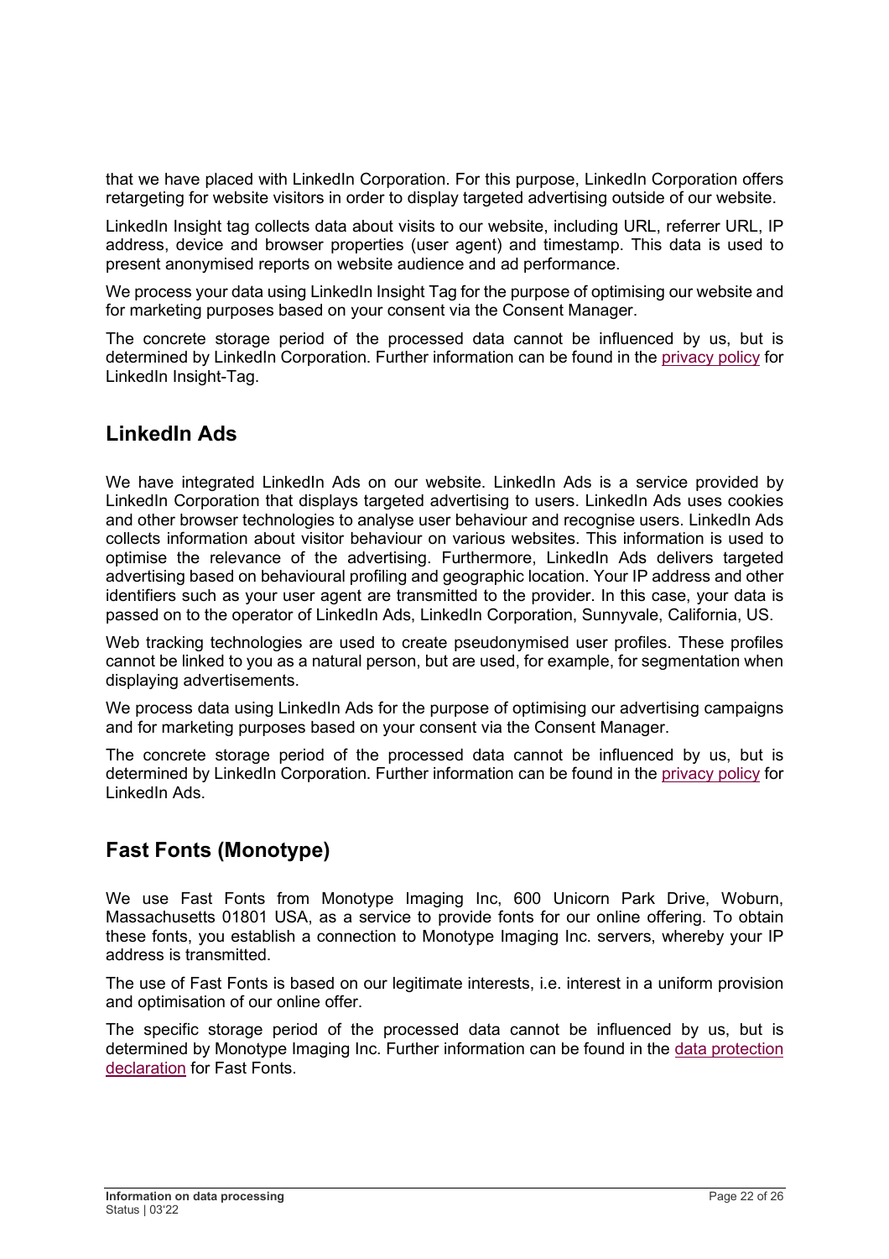that we have placed with LinkedIn Corporation. For this purpose, LinkedIn Corporation offers retargeting for website visitors in order to display targeted advertising outside of our website.

LinkedIn Insight tag collects data about visits to our website, including URL, referrer URL, IP address, device and browser properties (user agent) and timestamp. This data is used to present anonymised reports on website audience and ad performance.

We process your data using LinkedIn Insight Tag for the purpose of optimising our website and for marketing purposes based on your consent via the Consent Manager.

The concrete storage period of the processed data cannot be influenced by us, but is determined by LinkedIn Corporation. Further information can be found in the privacy policy for LinkedIn Insight-Tag.

# **LinkedIn Ads**

We have integrated LinkedIn Ads on our website. LinkedIn Ads is a service provided by LinkedIn Corporation that displays targeted advertising to users. LinkedIn Ads uses cookies and other browser technologies to analyse user behaviour and recognise users. LinkedIn Ads collects information about visitor behaviour on various websites. This information is used to optimise the relevance of the advertising. Furthermore, LinkedIn Ads delivers targeted advertising based on behavioural profiling and geographic location. Your IP address and other identifiers such as your user agent are transmitted to the provider. In this case, your data is passed on to the operator of LinkedIn Ads, LinkedIn Corporation, Sunnyvale, California, US.

Web tracking technologies are used to create pseudonymised user profiles. These profiles cannot be linked to you as a natural person, but are used, for example, for segmentation when displaying advertisements.

We process data using LinkedIn Ads for the purpose of optimising our advertising campaigns and for marketing purposes based on your consent via the Consent Manager.

The concrete storage period of the processed data cannot be influenced by us, but is determined by LinkedIn Corporation. Further information can be found in the privacy policy for LinkedIn Ads.

# **Fast Fonts (Monotype)**

We use Fast Fonts from Monotype Imaging Inc, 600 Unicorn Park Drive, Woburn, Massachusetts 01801 USA, as a service to provide fonts for our online offering. To obtain these fonts, you establish a connection to Monotype Imaging Inc. servers, whereby your IP address is transmitted.

The use of Fast Fonts is based on our legitimate interests, i.e. interest in a uniform provision and optimisation of our online offer.

The specific storage period of the processed data cannot be influenced by us, but is determined by Monotype Imaging Inc. Further information can be found in the data protection declaration for Fast Fonts.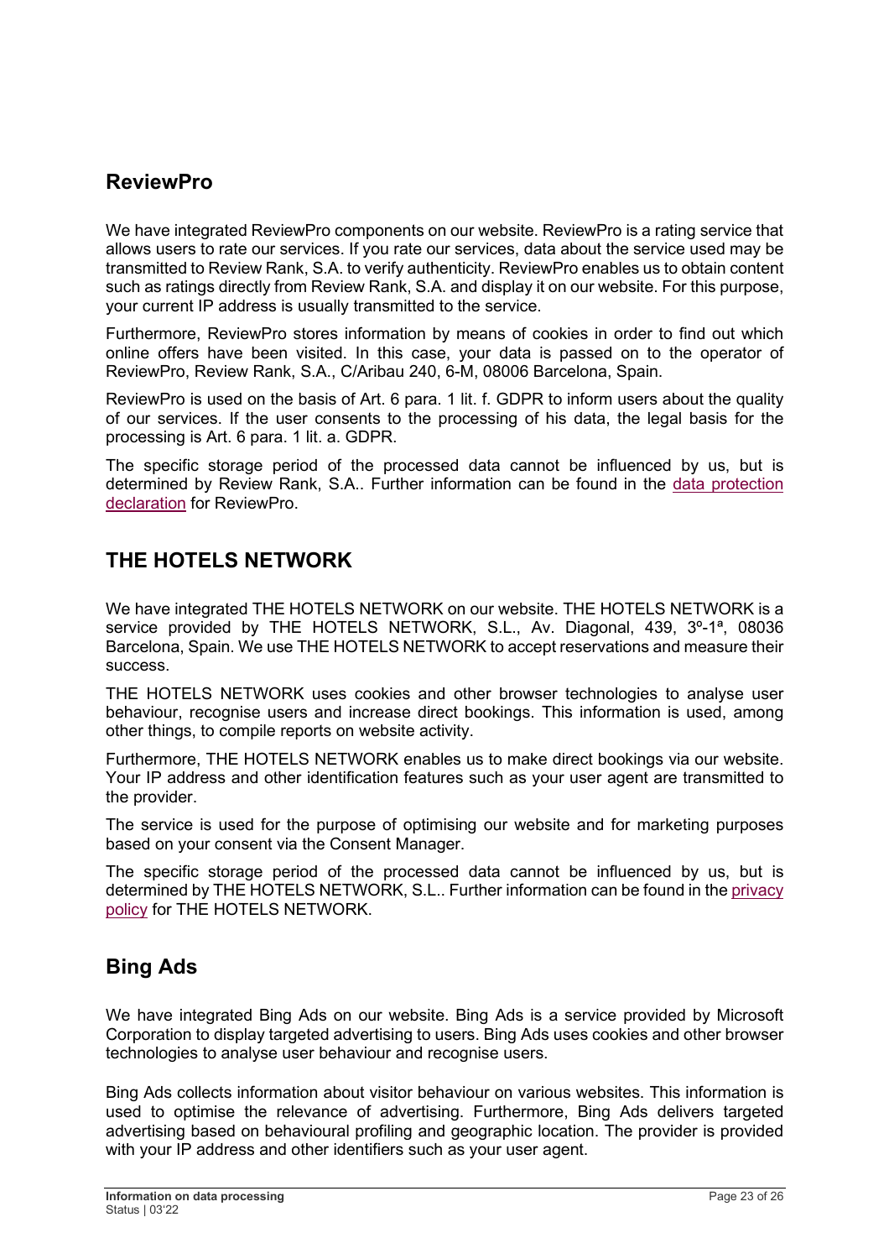# **ReviewPro**

We have integrated ReviewPro components on our website. ReviewPro is a rating service that allows users to rate our services. If you rate our services, data about the service used may be transmitted to Review Rank, S.A. to verify authenticity. ReviewPro enables us to obtain content such as ratings directly from Review Rank, S.A. and display it on our website. For this purpose, your current IP address is usually transmitted to the service.

Furthermore, ReviewPro stores information by means of cookies in order to find out which online offers have been visited. In this case, your data is passed on to the operator of ReviewPro, Review Rank, S.A., C/Aribau 240, 6-M, 08006 Barcelona, Spain.

ReviewPro is used on the basis of Art. 6 para. 1 lit. f. GDPR to inform users about the quality of our services. If the user consents to the processing of his data, the legal basis for the processing is Art. 6 para. 1 lit. a. GDPR.

The specific storage period of the processed data cannot be influenced by us, but is determined by Review Rank, S.A.. Further information can be found in the data protection declaration for ReviewPro.

# **THE HOTELS NETWORK**

We have integrated THE HOTELS NETWORK on our website. THE HOTELS NETWORK is a service provided by THE HOTELS NETWORK, S.L., Av. Diagonal, 439, 3º-1ª, 08036 Barcelona, Spain. We use THE HOTELS NETWORK to accept reservations and measure their success.

THE HOTELS NETWORK uses cookies and other browser technologies to analyse user behaviour, recognise users and increase direct bookings. This information is used, among other things, to compile reports on website activity.

Furthermore, THE HOTELS NETWORK enables us to make direct bookings via our website. Your IP address and other identification features such as your user agent are transmitted to the provider.

The service is used for the purpose of optimising our website and for marketing purposes based on your consent via the Consent Manager.

The specific storage period of the processed data cannot be influenced by us, but is determined by THE HOTELS NETWORK, S.L.. Further information can be found in the privacy policy for THE HOTELS NETWORK.

# **Bing Ads**

We have integrated Bing Ads on our website. Bing Ads is a service provided by Microsoft Corporation to display targeted advertising to users. Bing Ads uses cookies and other browser technologies to analyse user behaviour and recognise users.

Bing Ads collects information about visitor behaviour on various websites. This information is used to optimise the relevance of advertising. Furthermore, Bing Ads delivers targeted advertising based on behavioural profiling and geographic location. The provider is provided with your IP address and other identifiers such as your user agent.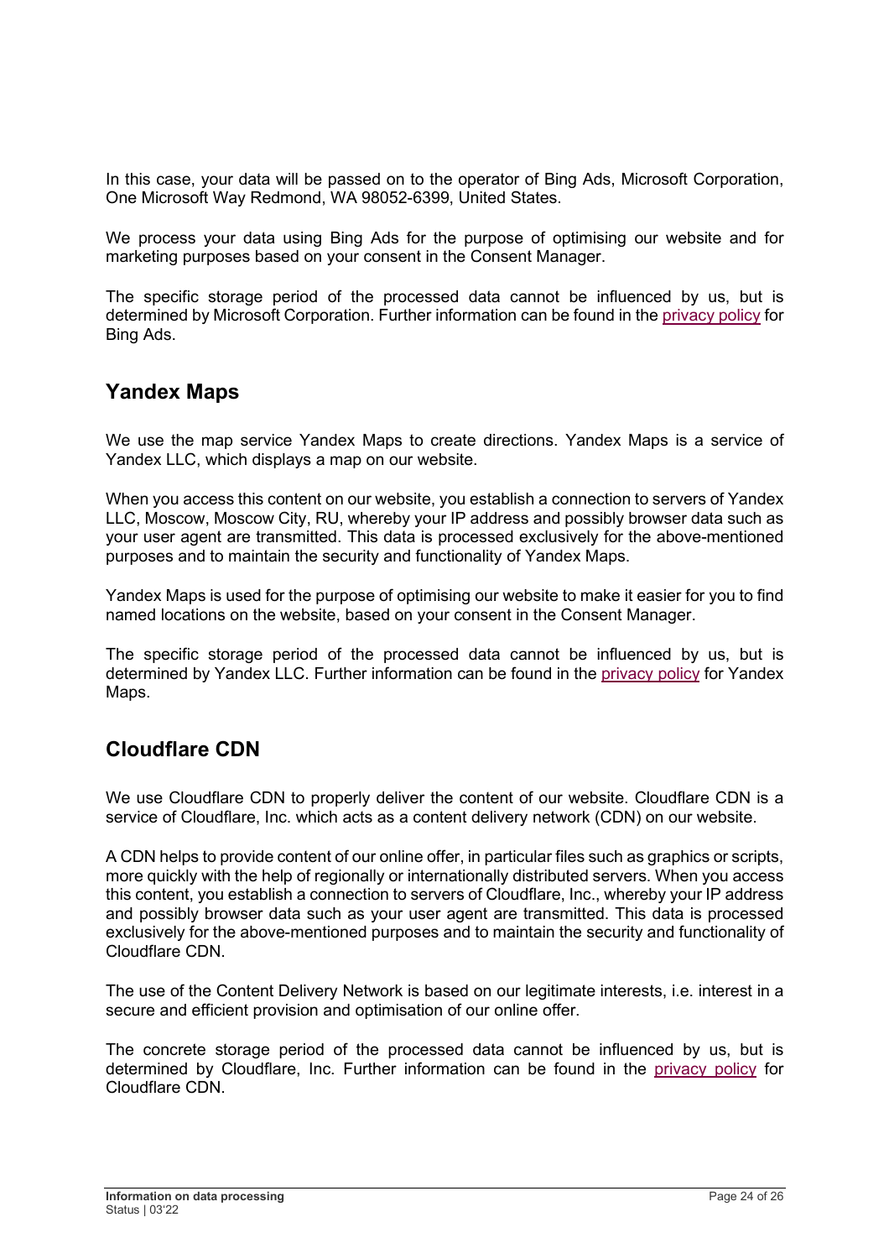In this case, your data will be passed on to the operator of Bing Ads, Microsoft Corporation, One Microsoft Way Redmond, WA 98052-6399, United States.

We process your data using Bing Ads for the purpose of optimising our website and for marketing purposes based on your consent in the Consent Manager.

The specific storage period of the processed data cannot be influenced by us, but is determined by Microsoft Corporation. Further information can be found in the privacy policy for Bing Ads.

### **Yandex Maps**

We use the map service Yandex Maps to create directions. Yandex Maps is a service of Yandex LLC, which displays a map on our website.

When you access this content on our website, you establish a connection to servers of Yandex LLC, Moscow, Moscow City, RU, whereby your IP address and possibly browser data such as your user agent are transmitted. This data is processed exclusively for the above-mentioned purposes and to maintain the security and functionality of Yandex Maps.

Yandex Maps is used for the purpose of optimising our website to make it easier for you to find named locations on the website, based on your consent in the Consent Manager.

The specific storage period of the processed data cannot be influenced by us, but is determined by Yandex LLC. Further information can be found in the privacy policy for Yandex Maps.

### **Cloudflare CDN**

We use Cloudflare CDN to properly deliver the content of our website. Cloudflare CDN is a service of Cloudflare, Inc. which acts as a content delivery network (CDN) on our website.

A CDN helps to provide content of our online offer, in particular files such as graphics or scripts, more quickly with the help of regionally or internationally distributed servers. When you access this content, you establish a connection to servers of Cloudflare, Inc., whereby your IP address and possibly browser data such as your user agent are transmitted. This data is processed exclusively for the above-mentioned purposes and to maintain the security and functionality of Cloudflare CDN.

The use of the Content Delivery Network is based on our legitimate interests, i.e. interest in a secure and efficient provision and optimisation of our online offer.

The concrete storage period of the processed data cannot be influenced by us, but is determined by Cloudflare, Inc. Further information can be found in the privacy policy for Cloudflare CDN.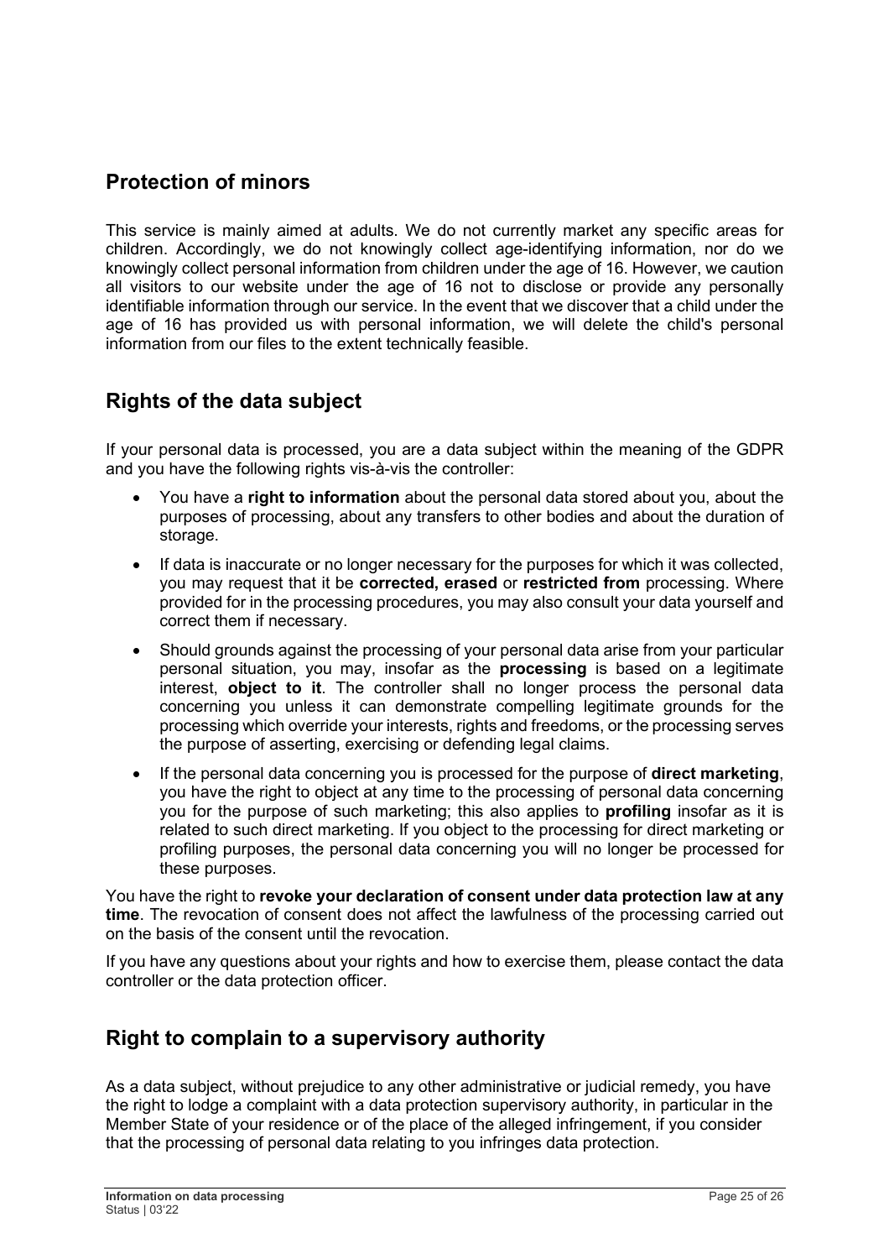# **Protection of minors**

This service is mainly aimed at adults. We do not currently market any specific areas for children. Accordingly, we do not knowingly collect age-identifying information, nor do we knowingly collect personal information from children under the age of 16. However, we caution all visitors to our website under the age of 16 not to disclose or provide any personally identifiable information through our service. In the event that we discover that a child under the age of 16 has provided us with personal information, we will delete the child's personal information from our files to the extent technically feasible.

# **Rights of the data subject**

If your personal data is processed, you are a data subject within the meaning of the GDPR and you have the following rights vis-à-vis the controller:

- You have a **right to information** about the personal data stored about you, about the purposes of processing, about any transfers to other bodies and about the duration of storage.
- If data is inaccurate or no longer necessary for the purposes for which it was collected, you may request that it be **corrected, erased** or **restricted from** processing. Where provided for in the processing procedures, you may also consult your data yourself and correct them if necessary.
- Should grounds against the processing of your personal data arise from your particular personal situation, you may, insofar as the **processing** is based on a legitimate interest, **object to it**. The controller shall no longer process the personal data concerning you unless it can demonstrate compelling legitimate grounds for the processing which override your interests, rights and freedoms, or the processing serves the purpose of asserting, exercising or defending legal claims.
- If the personal data concerning you is processed for the purpose of **direct marketing**, you have the right to object at any time to the processing of personal data concerning you for the purpose of such marketing; this also applies to **profiling** insofar as it is related to such direct marketing. If you object to the processing for direct marketing or profiling purposes, the personal data concerning you will no longer be processed for these purposes.

You have the right to **revoke your declaration of consent under data protection law at any time**. The revocation of consent does not affect the lawfulness of the processing carried out on the basis of the consent until the revocation.

If you have any questions about your rights and how to exercise them, please contact the data controller or the data protection officer.

# **Right to complain to a supervisory authority**

As a data subject, without prejudice to any other administrative or judicial remedy, you have the right to lodge a complaint with a data protection supervisory authority, in particular in the Member State of your residence or of the place of the alleged infringement, if you consider that the processing of personal data relating to you infringes data protection.